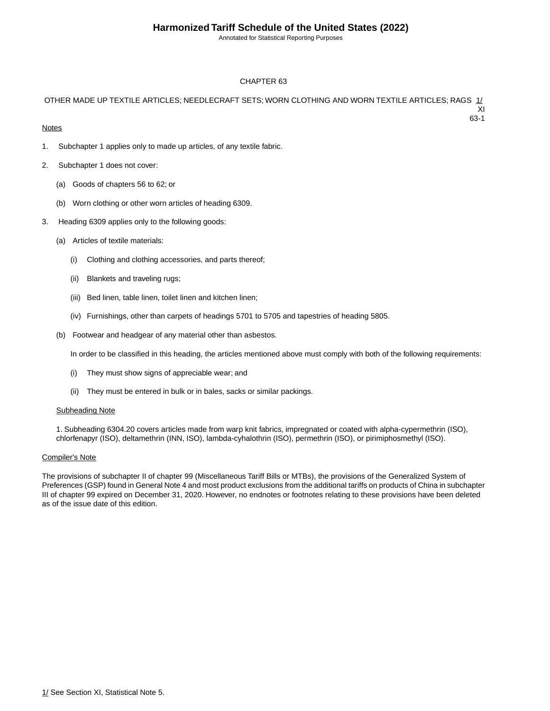Annotated for Statistical Reporting Purposes

63-1

#### CHAPTER 63

#### OTHER MADE UP TEXTILE ARTICLES; NEEDLECRAFT SETS; WORN CLOTHING AND WORN TEXTILE ARTICLES; RAGS 1/ XI

#### **Notes**

- 1. Subchapter 1 applies only to made up articles, of any textile fabric.
- 2. Subchapter 1 does not cover:
	- (a) Goods of chapters 56 to 62; or
	- (b) Worn clothing or other worn articles of heading 6309.
- 3. Heading 6309 applies only to the following goods:
	- (a) Articles of textile materials:
		- (i) Clothing and clothing accessories, and parts thereof;
		- (ii) Blankets and traveling rugs;
		- (iii) Bed linen, table linen, toilet linen and kitchen linen;
		- (iv) Furnishings, other than carpets of headings 5701 to 5705 and tapestries of heading 5805.
	- (b) Footwear and headgear of any material other than asbestos.

In order to be classified in this heading, the articles mentioned above must comply with both of the following requirements:

- (i) They must show signs of appreciable wear; and
- (ii) They must be entered in bulk or in bales, sacks or similar packings.

#### Subheading Note

1. Subheading 6304.20 covers articles made from warp knit fabrics, impregnated or coated with alpha-cypermethrin (ISO), chlorfenapyr (ISO), deltamethrin (INN, ISO), lambda-cyhalothrin (ISO), permethrin (ISO), or pirimiphosmethyl (ISO).

#### Compiler's Note

The provisions of subchapter II of chapter 99 (Miscellaneous Tariff Bills or MTBs), the provisions of the Generalized System of Preferences (GSP) found in General Note 4 and most product exclusions from the additional tariffs on products of China in subchapter III of chapter 99 expired on December 31, 2020. However, no endnotes or footnotes relating to these provisions have been deleted as of the issue date of this edition.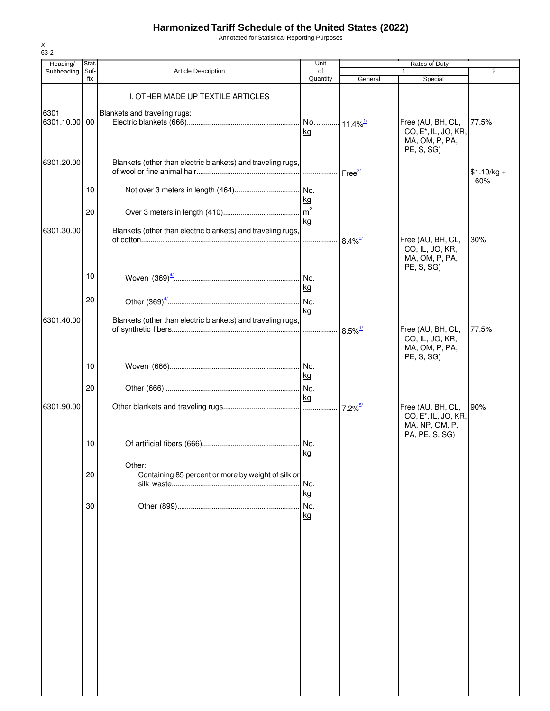Annotated for Statistical Reporting Purposes

| Heading/              | Stat        |                                                                   | Unit                        |                               | Rates of Duty                                                        |                     |
|-----------------------|-------------|-------------------------------------------------------------------|-----------------------------|-------------------------------|----------------------------------------------------------------------|---------------------|
| Subheading            | Suf-<br>fix | <b>Article Description</b>                                        | of<br>Quantity              | General                       | 1<br>Special                                                         | 2                   |
| 6301<br>6301.10.00 00 |             | I. OTHER MADE UP TEXTILE ARTICLES<br>Blankets and traveling rugs: | No 11.4% <sup>1/</sup>      |                               | Free (AU, BH, CL,                                                    | 77.5%               |
| 6301.20.00            |             | Blankets (other than electric blankets) and traveling rugs,       | kg                          |                               | CO, E <sup>*</sup> , IL, JO, KR,<br>MA, OM, P, PA,<br>PE, S, SG)     |                     |
|                       | 10          |                                                                   | .<br>No.                    | $\textsf{Free}^{\mathcal{Z}}$ |                                                                      | $$1.10/kg +$<br>60% |
|                       | 20          |                                                                   | <u>kg</u><br>m <sup>2</sup> |                               |                                                                      |                     |
| 6301.30.00            |             | Blankets (other than electric blankets) and traveling rugs,       | kg<br>.                     | $8.4\%$ <sup>3/</sup>         | Free (AU, BH, CL,<br>CO, IL, JO, KR,                                 | 30%                 |
|                       | 10          |                                                                   |                             |                               | MA, OM, P, PA,<br>PE, S, SG)                                         |                     |
|                       | 20          |                                                                   | kg<br>No.                   |                               |                                                                      |                     |
| 6301.40.00            |             | Blankets (other than electric blankets) and traveling rugs,       | kg                          |                               | Free (AU, BH, CL,<br>CO, IL, JO, KR,<br>MA, OM, P, PA,               | 77.5%               |
|                       | 10          |                                                                   | INo.<br><u>kg</u>           |                               | PE, S, SG)                                                           |                     |
| 6301.90.00            | 20          |                                                                   | IN <sub>o</sub><br>kg       |                               | Free (AU, BH, CL,                                                    | 90%                 |
|                       |             |                                                                   | .                           | $7.2\%$ <sup>5/</sup>         | CO, E <sup>*</sup> , IL, JO, KR,<br>MA, NP, OM, P,<br>PA, PE, S, SG) |                     |
|                       | 10          | Other:                                                            | INo.<br>kg                  |                               |                                                                      |                     |
|                       | 20          | Containing 85 percent or more by weight of silk or                | No.<br>kg                   |                               |                                                                      |                     |
|                       | 30          |                                                                   | No.<br>kg                   |                               |                                                                      |                     |
|                       |             |                                                                   |                             |                               |                                                                      |                     |
|                       |             |                                                                   |                             |                               |                                                                      |                     |
|                       |             |                                                                   |                             |                               |                                                                      |                     |
|                       |             |                                                                   |                             |                               |                                                                      |                     |
|                       |             |                                                                   |                             |                               |                                                                      |                     |
|                       |             |                                                                   |                             |                               |                                                                      |                     |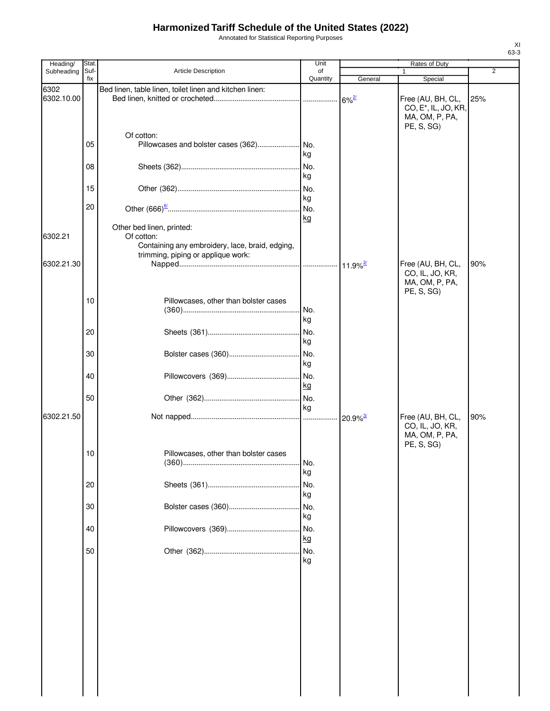Annotated for Statistical Reporting Purposes

| Heading/           | Stat. |                                                                                                                                  | Unit      |                        | Rates of Duty                                                                         |     |
|--------------------|-------|----------------------------------------------------------------------------------------------------------------------------------|-----------|------------------------|---------------------------------------------------------------------------------------|-----|
| Subheading         | Suf-  | <b>Article Description</b>                                                                                                       | of        |                        | $\mathbf{1}$                                                                          | 2   |
|                    | fix   |                                                                                                                                  | Quantity  | General                | Special                                                                               |     |
| 6302<br>6302.10.00 |       | Bed linen, table linen, toilet linen and kitchen linen:                                                                          |           | $6\%$ <sup>2/</sup>    | Free (AU, BH, CL,<br>CO, E <sup>*</sup> , IL, JO, KR,<br>MA, OM, P, PA,<br>PE, S, SG) | 25% |
|                    | 05    | Of cotton:                                                                                                                       | kg        |                        |                                                                                       |     |
|                    | 08    |                                                                                                                                  | kg        |                        |                                                                                       |     |
|                    | 15    |                                                                                                                                  | kg        |                        |                                                                                       |     |
|                    | 20    |                                                                                                                                  | kg        |                        |                                                                                       |     |
| 6302.21            |       | Other bed linen, printed:<br>Of cotton:<br>Containing any embroidery, lace, braid, edging,<br>trimming, piping or applique work: |           |                        |                                                                                       |     |
| 6302.21.30         |       |                                                                                                                                  |           |                        | Free (AU, BH, CL,<br>CO, IL, JO, KR,<br>MA, OM, P, PA,                                | 90% |
|                    | 10    | Pillowcases, other than bolster cases                                                                                            | No.<br>kg |                        | PE, S, SG)                                                                            |     |
|                    | 20    |                                                                                                                                  | No.<br>kg |                        |                                                                                       |     |
|                    | 30    |                                                                                                                                  | No.<br>kg |                        |                                                                                       |     |
|                    | 40    |                                                                                                                                  | No.<br>kg |                        |                                                                                       |     |
|                    | 50    |                                                                                                                                  | No.<br>kg |                        |                                                                                       |     |
| 6302.21.50         |       |                                                                                                                                  |           | $20.9\%$ <sup>3/</sup> | Free (AU, BH, CL,<br>CO, IL, JO, KR,<br>MA, OM, P, PA,<br>PE, S, SG)                  | 90% |
|                    | 10    | Pillowcases, other than bolster cases                                                                                            | No.<br>kg |                        |                                                                                       |     |
|                    | 20    |                                                                                                                                  | No.<br>kg |                        |                                                                                       |     |
|                    | 30    |                                                                                                                                  | No.<br>kg |                        |                                                                                       |     |
|                    | 40    |                                                                                                                                  | No.<br>kg |                        |                                                                                       |     |
|                    | 50    |                                                                                                                                  | No.<br>kg |                        |                                                                                       |     |
|                    |       |                                                                                                                                  |           |                        |                                                                                       |     |
|                    |       |                                                                                                                                  |           |                        |                                                                                       |     |
|                    |       |                                                                                                                                  |           |                        |                                                                                       |     |
|                    |       |                                                                                                                                  |           |                        |                                                                                       |     |
|                    |       |                                                                                                                                  |           |                        |                                                                                       |     |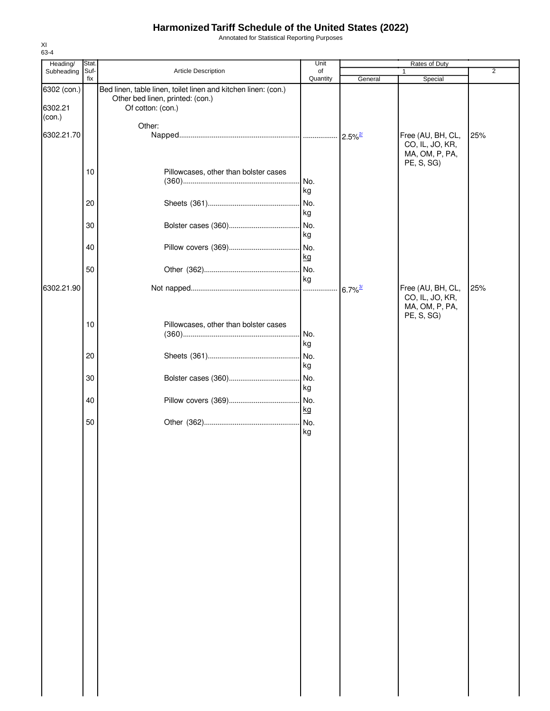Annotated for Statistical Reporting Purposes

| Heading/               | Stat. |                                                                                                                         | Unit      |                       | Rates of Duty                                          |                |
|------------------------|-------|-------------------------------------------------------------------------------------------------------------------------|-----------|-----------------------|--------------------------------------------------------|----------------|
| Subheading             | Suf-  | Article Description                                                                                                     | of        |                       | 1                                                      | $\overline{2}$ |
| 6302 (con.)<br>6302.21 | fix   | Bed linen, table linen, toilet linen and kitchen linen: (con.)<br>Other bed linen, printed: (con.)<br>Of cotton: (con.) | Quantity  | General               | Special                                                |                |
| (con.)                 |       |                                                                                                                         |           |                       |                                                        |                |
| 6302.21.70             |       | Other:                                                                                                                  |           | $2.5\%$ <sup>2/</sup> | Free (AU, BH, CL,<br>CO, IL, JO, KR,<br>MA, OM, P, PA, | 25%            |
|                        | 10    | Pillowcases, other than bolster cases                                                                                   |           |                       | PE, S, SG)                                             |                |
|                        |       |                                                                                                                         | No.<br>kg |                       |                                                        |                |
|                        | 20    |                                                                                                                         | No.<br>kg |                       |                                                        |                |
|                        | 30    |                                                                                                                         | No.<br>kg |                       |                                                        |                |
|                        | 40    |                                                                                                                         | No.<br>kg |                       |                                                        |                |
|                        | 50    |                                                                                                                         | No.       |                       |                                                        |                |
| 6302.21.90             |       |                                                                                                                         | kg<br>.   | $6.7\%$ <sup>3/</sup> | Free (AU, BH, CL,<br>CO, IL, JO, KR,                   | 25%            |
|                        | 10    | Pillowcases, other than bolster cases                                                                                   | No.<br>kg |                       | MA, OM, P, PA,<br>PE, S, SG)                           |                |
|                        | 20    |                                                                                                                         | No.<br>kg |                       |                                                        |                |
|                        | 30    |                                                                                                                         | No.<br>kg |                       |                                                        |                |
|                        | 40    |                                                                                                                         | No.<br>kg |                       |                                                        |                |
|                        | 50    |                                                                                                                         | No.<br>kg |                       |                                                        |                |
|                        |       |                                                                                                                         |           |                       |                                                        |                |
|                        |       |                                                                                                                         |           |                       |                                                        |                |
|                        |       |                                                                                                                         |           |                       |                                                        |                |
|                        |       |                                                                                                                         |           |                       |                                                        |                |
|                        |       |                                                                                                                         |           |                       |                                                        |                |
|                        |       |                                                                                                                         |           |                       |                                                        |                |
|                        |       |                                                                                                                         |           |                       |                                                        |                |
|                        |       |                                                                                                                         |           |                       |                                                        |                |
|                        |       |                                                                                                                         |           |                       |                                                        |                |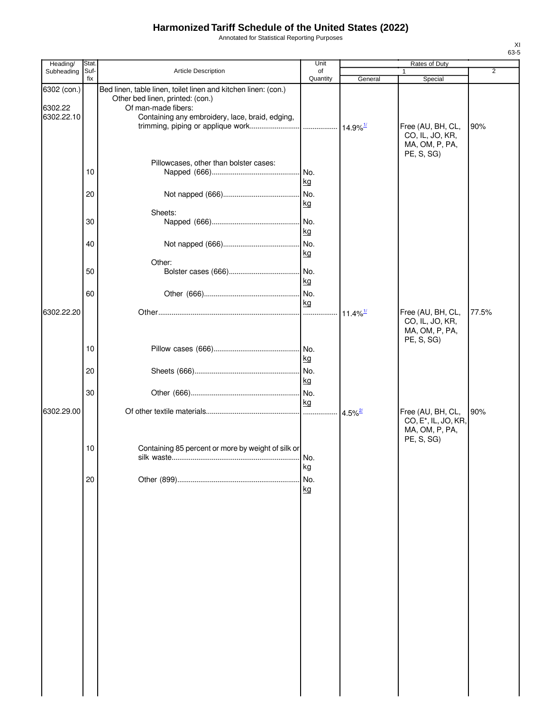Annotated for Statistical Reporting Purposes

| Heading/               | Stat.       |                                                                                                                           | Unit             |                        | Rates of Duty                                                                         |                |
|------------------------|-------------|---------------------------------------------------------------------------------------------------------------------------|------------------|------------------------|---------------------------------------------------------------------------------------|----------------|
| Subheading             | Suf-<br>fix | Article Description                                                                                                       | of<br>Quantity   | General                | Special                                                                               | $\overline{2}$ |
| 6302 (con.)<br>6302.22 |             | Bed linen, table linen, toilet linen and kitchen linen: (con.)<br>Other bed linen, printed: (con.)<br>Of man-made fibers: |                  |                        |                                                                                       |                |
| 6302.22.10             |             | Containing any embroidery, lace, braid, edging,                                                                           |                  |                        | Free (AU, BH, CL,<br>CO, IL, JO, KR,<br>MA, OM, P, PA,<br>PE, S, SG)                  | 90%            |
|                        | 10          | Pillowcases, other than bolster cases:                                                                                    | No.<br>kg        |                        |                                                                                       |                |
|                        | 20          |                                                                                                                           | No.<br>kg        |                        |                                                                                       |                |
|                        |             | Sheets:                                                                                                                   |                  |                        |                                                                                       |                |
|                        | 30          |                                                                                                                           | No.<br><u>kg</u> |                        |                                                                                       |                |
|                        | 40          |                                                                                                                           | No.<br>kg        |                        |                                                                                       |                |
|                        | 50          | Other:                                                                                                                    | No.<br>kg        |                        |                                                                                       |                |
| 6302.22.20             | 60          |                                                                                                                           | No.<br>kg        | $11.4\%$ <sup>1/</sup> | Free (AU, BH, CL,                                                                     | 77.5%          |
|                        |             |                                                                                                                           |                  |                        | CO, IL, JO, KR,<br>MA, OM, P, PA,<br>PE, S, SG)                                       |                |
|                        | 10          |                                                                                                                           | <u>kg</u>        |                        |                                                                                       |                |
|                        | 20          |                                                                                                                           | No.<br>kg        |                        |                                                                                       |                |
|                        | 30          |                                                                                                                           | No.<br>kg        |                        |                                                                                       |                |
| 6302.29.00             |             |                                                                                                                           | .                | $4.5\%$ <sup>2/</sup>  | Free (AU, BH, CL,<br>CO, E <sup>*</sup> , IL, JO, KR,<br>MA, OM, P, PA,<br>PE, S, SG) | 90%            |
|                        | 10          | Containing 85 percent or more by weight of silk or                                                                        | No.<br>kg        |                        |                                                                                       |                |
|                        | 20          |                                                                                                                           | No.              |                        |                                                                                       |                |
|                        |             |                                                                                                                           | kg               |                        |                                                                                       |                |
|                        |             |                                                                                                                           |                  |                        |                                                                                       |                |
|                        |             |                                                                                                                           |                  |                        |                                                                                       |                |
|                        |             |                                                                                                                           |                  |                        |                                                                                       |                |
|                        |             |                                                                                                                           |                  |                        |                                                                                       |                |
|                        |             |                                                                                                                           |                  |                        |                                                                                       |                |
|                        |             |                                                                                                                           |                  |                        |                                                                                       |                |
|                        |             |                                                                                                                           |                  |                        |                                                                                       |                |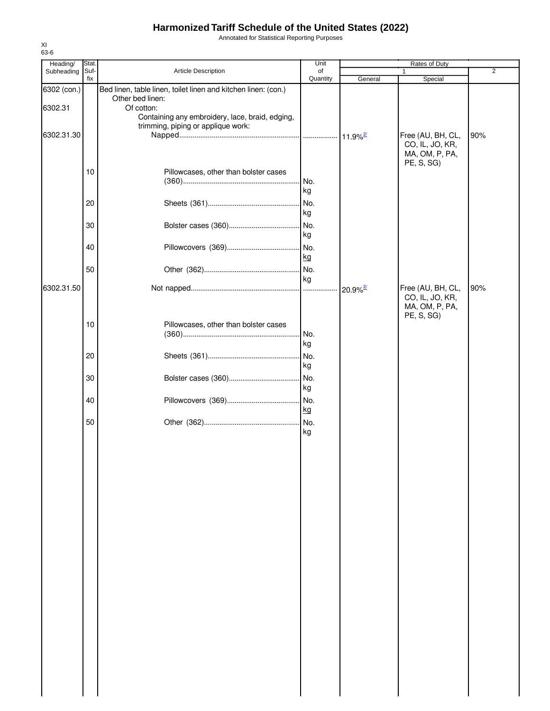Annotated for Statistical Reporting Purposes

| Heading/    | Stat.       |                                                                                       | Unit           |              | Rates of Duty                                   |                |
|-------------|-------------|---------------------------------------------------------------------------------------|----------------|--------------|-------------------------------------------------|----------------|
| Subheading  | Suf-<br>fix | Article Description                                                                   | of<br>Quantity | General      | 1<br>Special                                    | $\overline{2}$ |
| 6302 (con.) |             | Bed linen, table linen, toilet linen and kitchen linen: (con.)<br>Other bed linen:    |                |              |                                                 |                |
| 6302.31     |             | Of cotton:                                                                            |                |              |                                                 |                |
| 6302.31.30  |             | Containing any embroidery, lace, braid, edging,<br>trimming, piping or applique work: |                |              | Free (AU, BH, CL,                               | 90%            |
|             |             |                                                                                       |                |              | CO, IL, JO, KR,<br>MA, OM, P, PA,<br>PE, S, SG) |                |
|             | 10          | Pillowcases, other than bolster cases                                                 |                |              |                                                 |                |
|             |             |                                                                                       | No.<br>kg      |              |                                                 |                |
|             | 20          |                                                                                       | No.            |              |                                                 |                |
|             | 30          |                                                                                       | kg<br>No.      |              |                                                 |                |
|             |             |                                                                                       | kg             |              |                                                 |                |
|             | 40          |                                                                                       | No.            |              |                                                 |                |
|             |             |                                                                                       | kg             |              |                                                 |                |
|             | 50          |                                                                                       | No.<br>kg      |              |                                                 |                |
| 6302.31.50  |             |                                                                                       |                | $20.9%^{27}$ | Free (AU, BH, CL,                               | 90%            |
|             |             |                                                                                       |                |              | CO, IL, JO, KR,<br>MA, OM, P, PA,<br>PE, S, SG) |                |
|             | 10          | Pillowcases, other than bolster cases                                                 | No.            |              |                                                 |                |
|             |             |                                                                                       | kg             |              |                                                 |                |
|             | 20          |                                                                                       | No.            |              |                                                 |                |
|             |             |                                                                                       | kg             |              |                                                 |                |
|             | 30          |                                                                                       | No.<br>kg      |              |                                                 |                |
|             | 40          |                                                                                       | No.            |              |                                                 |                |
|             |             |                                                                                       | kg             |              |                                                 |                |
|             | 50          |                                                                                       | No.<br>kg      |              |                                                 |                |
|             |             |                                                                                       |                |              |                                                 |                |
|             |             |                                                                                       |                |              |                                                 |                |
|             |             |                                                                                       |                |              |                                                 |                |
|             |             |                                                                                       |                |              |                                                 |                |
|             |             |                                                                                       |                |              |                                                 |                |
|             |             |                                                                                       |                |              |                                                 |                |
|             |             |                                                                                       |                |              |                                                 |                |
|             |             |                                                                                       |                |              |                                                 |                |
|             |             |                                                                                       |                |              |                                                 |                |
|             |             |                                                                                       |                |              |                                                 |                |
|             |             |                                                                                       |                |              |                                                 |                |
|             |             |                                                                                       |                |              |                                                 |                |
|             |             |                                                                                       |                |              |                                                 |                |
|             |             |                                                                                       |                |              |                                                 |                |
|             |             |                                                                                       |                |              |                                                 |                |
|             |             |                                                                                       |                |              |                                                 |                |
|             |             |                                                                                       |                |              |                                                 |                |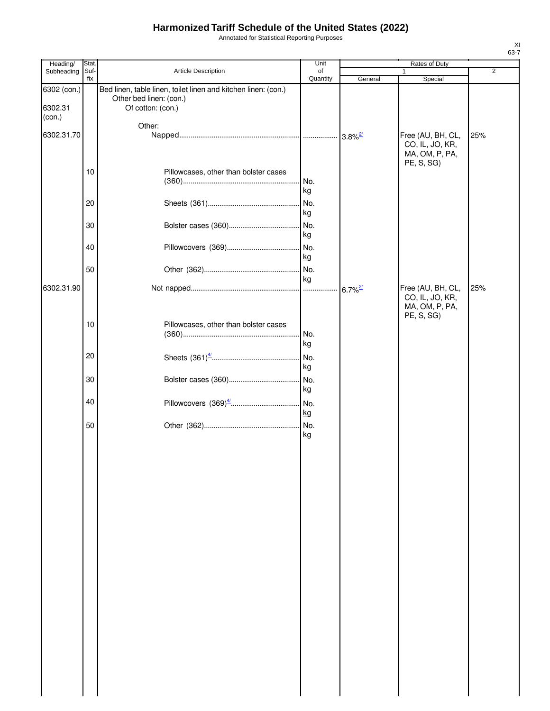Annotated for Statistical Reporting Purposes

| Heading/                         | Stat.       |                                                                                                                | Unit           |                       | Rates of Duty                                                        |                |
|----------------------------------|-------------|----------------------------------------------------------------------------------------------------------------|----------------|-----------------------|----------------------------------------------------------------------|----------------|
| Subheading                       | Suf-<br>fix | Article Description                                                                                            | of<br>Quantity | General               | 1<br>Special                                                         | $\overline{2}$ |
| 6302 (con.)<br>6302.31<br>(con.) |             | Bed linen, table linen, toilet linen and kitchen linen: (con.)<br>Other bed linen: (con.)<br>Of cotton: (con.) |                |                       |                                                                      |                |
| 6302.31.70                       |             | Other:                                                                                                         |                |                       | Free (AU, BH, CL,                                                    | 25%            |
|                                  |             |                                                                                                                |                |                       | CO, IL, JO, KR,<br>MA, OM, P, PA,<br>PE, S, SG)                      |                |
|                                  | 10          | Pillowcases, other than bolster cases                                                                          | No.<br>kg      |                       |                                                                      |                |
|                                  | 20          |                                                                                                                | No.<br>kg      |                       |                                                                      |                |
|                                  | 30          |                                                                                                                | kg             |                       |                                                                      |                |
|                                  | 40          |                                                                                                                | No.<br>kg      |                       |                                                                      |                |
|                                  | 50          |                                                                                                                | No.<br>kg      |                       |                                                                      |                |
| 6302.31.90                       |             |                                                                                                                |                | $6.7\%$ <sup>2/</sup> | Free (AU, BH, CL,<br>CO, IL, JO, KR,<br>MA, OM, P, PA,<br>PE, S, SG) | 25%            |
|                                  | 10          | Pillowcases, other than bolster cases                                                                          | No.<br>kg      |                       |                                                                      |                |
|                                  | 20          |                                                                                                                | No.<br>kg      |                       |                                                                      |                |
|                                  | 30          |                                                                                                                | kg             |                       |                                                                      |                |
|                                  | 40          |                                                                                                                | kg             |                       |                                                                      |                |
|                                  | 50          |                                                                                                                | kg             |                       |                                                                      |                |
|                                  |             |                                                                                                                |                |                       |                                                                      |                |
|                                  |             |                                                                                                                |                |                       |                                                                      |                |
|                                  |             |                                                                                                                |                |                       |                                                                      |                |
|                                  |             |                                                                                                                |                |                       |                                                                      |                |
|                                  |             |                                                                                                                |                |                       |                                                                      |                |
|                                  |             |                                                                                                                |                |                       |                                                                      |                |
|                                  |             |                                                                                                                |                |                       |                                                                      |                |
|                                  |             |                                                                                                                |                |                       |                                                                      |                |
|                                  |             |                                                                                                                |                |                       |                                                                      |                |
|                                  |             |                                                                                                                |                |                       |                                                                      |                |
|                                  |             |                                                                                                                |                |                       |                                                                      |                |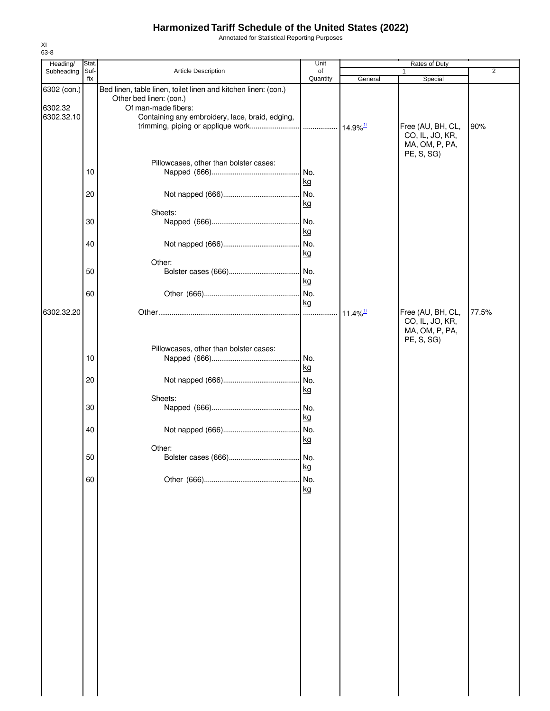Annotated for Statistical Reporting Purposes

| Heading/                             | Stat.       |                                                                                                                                                                     | Unit                   |                        | Rates of Duty                                          |                |
|--------------------------------------|-------------|---------------------------------------------------------------------------------------------------------------------------------------------------------------------|------------------------|------------------------|--------------------------------------------------------|----------------|
| Subheading                           | Suf-<br>fix | Article Description                                                                                                                                                 | of<br>Quantity         | General                | 1<br>Special                                           | $\overline{2}$ |
| 6302 (con.)<br>6302.32<br>6302.32.10 |             | Bed linen, table linen, toilet linen and kitchen linen: (con.)<br>Other bed linen: (con.)<br>Of man-made fibers:<br>Containing any embroidery, lace, braid, edging, |                        |                        | Free (AU, BH, CL,<br>CO, IL, JO, KR,<br>MA, OM, P, PA, | 90%            |
|                                      | 10<br>20    | Pillowcases, other than bolster cases:                                                                                                                              | No.<br>kg<br>No.<br>kg |                        | PE, S, SG)                                             |                |
|                                      | 30          | Sheets:                                                                                                                                                             |                        |                        |                                                        |                |
|                                      | 40          |                                                                                                                                                                     | kg<br>kg               |                        |                                                        |                |
|                                      | 50          | Other:                                                                                                                                                              | kg                     |                        |                                                        |                |
| 6302.32.20                           | 60          |                                                                                                                                                                     | No.<br>kg              | $11.4\%$ <sup>1/</sup> | Free (AU, BH, CL,<br>CO, IL, JO, KR,                   | 77.5%          |
|                                      |             | Pillowcases, other than bolster cases:                                                                                                                              |                        |                        | MA, OM, P, PA,<br>PE, S, SG)                           |                |
|                                      | 10          |                                                                                                                                                                     | No.<br>kg              |                        |                                                        |                |
|                                      | 20          | Sheets:                                                                                                                                                             | No.<br>kg              |                        |                                                        |                |
|                                      | 30          |                                                                                                                                                                     | kg                     |                        |                                                        |                |
|                                      | 40          |                                                                                                                                                                     | No.<br>kg              |                        |                                                        |                |
|                                      | 50          | Other:                                                                                                                                                              | kg                     |                        |                                                        |                |
|                                      | 60          |                                                                                                                                                                     | No.<br>kg              |                        |                                                        |                |
|                                      |             |                                                                                                                                                                     |                        |                        |                                                        |                |
|                                      |             |                                                                                                                                                                     |                        |                        |                                                        |                |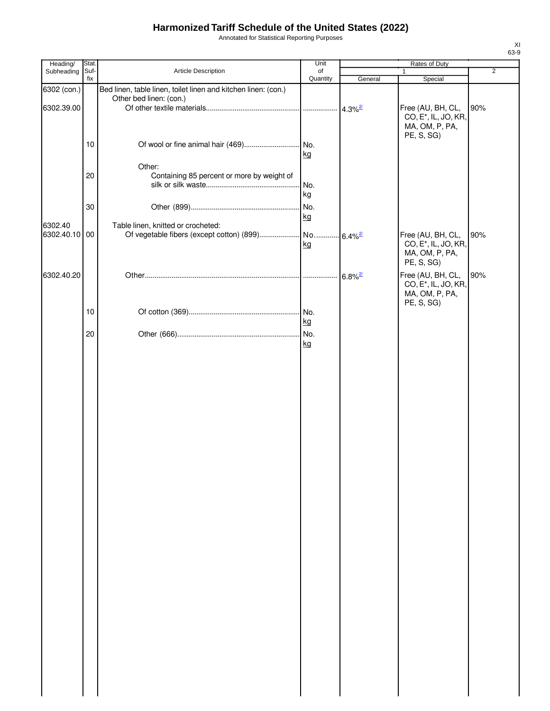Annotated for Statistical Reporting Purposes

| Heading/      | Stat.       |                                                                | Unit           |                       | Rates of Duty                                                           |                |
|---------------|-------------|----------------------------------------------------------------|----------------|-----------------------|-------------------------------------------------------------------------|----------------|
| Subheading    | Suf-<br>fix | Article Description                                            | of<br>Quantity | General               | 1<br>Special                                                            | $\overline{2}$ |
| 6302 (con.)   |             | Bed linen, table linen, toilet linen and kitchen linen: (con.) |                |                       |                                                                         |                |
|               |             | Other bed linen: (con.)                                        |                |                       |                                                                         |                |
| 6302.39.00    |             |                                                                |                |                       | Free (AU, BH, CL,<br>CO, E <sup>*</sup> , IL, JO, KR,<br>MA, OM, P, PA, | 90%            |
|               |             |                                                                |                |                       | PE, S, SG)                                                              |                |
|               | 10          |                                                                | kg             |                       |                                                                         |                |
|               | 20          | Other:                                                         |                |                       |                                                                         |                |
|               |             | Containing 85 percent or more by weight of                     | No.            |                       |                                                                         |                |
|               |             |                                                                | kg             |                       |                                                                         |                |
|               | 30          |                                                                |                |                       |                                                                         |                |
|               |             |                                                                | kg             |                       |                                                                         |                |
| 6302.40       |             | Table linen, knitted or crocheted:                             |                |                       |                                                                         |                |
| 6302.40.10 00 |             |                                                                | kg             |                       | Free (AU, BH, CL,<br>CO, E <sup>*</sup> , IL, JO, KR,                   | 90%            |
|               |             |                                                                |                |                       | MA, OM, P, PA,<br>PE, S, SG)                                            |                |
| 6302.40.20    |             |                                                                |                | $6.8\%$ <sup>2/</sup> | Free (AU, BH, CL,                                                       | 90%            |
|               |             |                                                                |                |                       | CO, E <sup>*</sup> , IL, JO, KR,<br>MA, OM, P, PA,<br>PE, S, SG)        |                |
|               | 10          |                                                                |                |                       |                                                                         |                |
|               |             |                                                                | kg             |                       |                                                                         |                |
|               | 20          |                                                                |                |                       |                                                                         |                |
|               |             |                                                                | kg             |                       |                                                                         |                |
|               |             |                                                                |                |                       |                                                                         |                |
|               |             |                                                                |                |                       |                                                                         |                |
|               |             |                                                                |                |                       |                                                                         |                |
|               |             |                                                                |                |                       |                                                                         |                |
|               |             |                                                                |                |                       |                                                                         |                |
|               |             |                                                                |                |                       |                                                                         |                |
|               |             |                                                                |                |                       |                                                                         |                |
|               |             |                                                                |                |                       |                                                                         |                |
|               |             |                                                                |                |                       |                                                                         |                |
|               |             |                                                                |                |                       |                                                                         |                |
|               |             |                                                                |                |                       |                                                                         |                |
|               |             |                                                                |                |                       |                                                                         |                |
|               |             |                                                                |                |                       |                                                                         |                |
|               |             |                                                                |                |                       |                                                                         |                |
|               |             |                                                                |                |                       |                                                                         |                |
|               |             |                                                                |                |                       |                                                                         |                |
|               |             |                                                                |                |                       |                                                                         |                |
|               |             |                                                                |                |                       |                                                                         |                |
|               |             |                                                                |                |                       |                                                                         |                |
|               |             |                                                                |                |                       |                                                                         |                |
|               |             |                                                                |                |                       |                                                                         |                |
|               |             |                                                                |                |                       |                                                                         |                |
|               |             |                                                                |                |                       |                                                                         |                |
|               |             |                                                                |                |                       |                                                                         |                |
|               |             |                                                                |                |                       |                                                                         |                |
|               |             |                                                                |                |                       |                                                                         |                |
|               |             |                                                                |                |                       |                                                                         |                |
|               |             |                                                                |                |                       |                                                                         |                |
|               |             |                                                                |                |                       |                                                                         |                |
|               |             |                                                                |                |                       |                                                                         |                |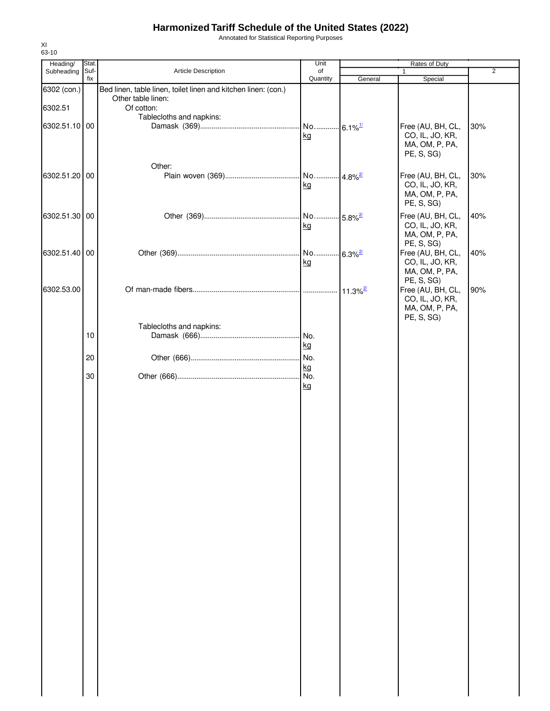Annotated for Statistical Reporting Purposes

| Heading/      | Stat. |                                                                | Unit                   |                        | Rates of Duty     |                |
|---------------|-------|----------------------------------------------------------------|------------------------|------------------------|-------------------|----------------|
| Subheading    | Suf-  | Article Description                                            | of                     |                        | 1                 | $\overline{2}$ |
|               | fix   |                                                                | Quantity               | General                | Special           |                |
| 6302 (con.)   |       | Bed linen, table linen, toilet linen and kitchen linen: (con.) |                        |                        |                   |                |
|               |       | Other table linen:                                             |                        |                        |                   |                |
| 6302.51       |       | Of cotton:                                                     |                        |                        |                   |                |
|               |       | Tablecloths and napkins:                                       |                        |                        |                   |                |
| 6302.51.10 00 |       |                                                                | No 6.1% <sup>1/</sup>  |                        | Free (AU, BH, CL, | 30%            |
|               |       |                                                                | kg                     |                        | CO, IL, JO, KR,   |                |
|               |       |                                                                |                        |                        | MA, OM, P, PA,    |                |
|               |       |                                                                |                        |                        | PE, S, SG)        |                |
|               |       | Other:                                                         |                        |                        |                   |                |
| 6302.51.20 00 |       |                                                                | No  4.8% <sup>27</sup> |                        | Free (AU, BH, CL, | 30%            |
|               |       |                                                                | kg                     |                        | CO, IL, JO, KR,   |                |
|               |       |                                                                |                        |                        | MA, OM, P, PA,    |                |
|               |       |                                                                |                        |                        | PE, S, SG)        |                |
|               |       |                                                                |                        |                        |                   |                |
| 6302.51.30 00 |       |                                                                | No 5.8% <sup>2/</sup>  |                        | Free (AU, BH, CL, | 40%            |
|               |       |                                                                | kg                     |                        | CO, IL, JO, KR,   |                |
|               |       |                                                                |                        |                        | MA, OM, P, PA,    |                |
|               |       |                                                                |                        |                        | PE, S, SG)        |                |
| 6302.51.40 00 |       |                                                                | No                     | $-6.3\%$ <sup>2/</sup> | Free (AU, BH, CL, | 40%            |
|               |       |                                                                | kg                     |                        | CO, IL, JO, KR,   |                |
|               |       |                                                                |                        |                        | MA, OM, P, PA,    |                |
|               |       |                                                                |                        |                        | PE, S, SG)        |                |
| 6302.53.00    |       |                                                                |                        |                        | Free (AU, BH, CL, | 90%            |
|               |       |                                                                |                        |                        | CO, IL, JO, KR,   |                |
|               |       |                                                                |                        |                        | MA, OM, P, PA,    |                |
|               |       |                                                                |                        |                        | PE, S, SG)        |                |
|               |       | Tablecloths and napkins:                                       |                        |                        |                   |                |
|               | 10    |                                                                | . No.                  |                        |                   |                |
|               |       |                                                                | kg                     |                        |                   |                |
|               |       |                                                                |                        |                        |                   |                |
|               | 20    |                                                                | No.                    |                        |                   |                |
|               |       |                                                                | kg                     |                        |                   |                |
|               | 30    |                                                                | No.                    |                        |                   |                |
|               |       |                                                                | kg                     |                        |                   |                |
|               |       |                                                                |                        |                        |                   |                |
|               |       |                                                                |                        |                        |                   |                |
|               |       |                                                                |                        |                        |                   |                |
|               |       |                                                                |                        |                        |                   |                |
|               |       |                                                                |                        |                        |                   |                |
|               |       |                                                                |                        |                        |                   |                |
|               |       |                                                                |                        |                        |                   |                |
|               |       |                                                                |                        |                        |                   |                |
|               |       |                                                                |                        |                        |                   |                |
|               |       |                                                                |                        |                        |                   |                |
|               |       |                                                                |                        |                        |                   |                |
|               |       |                                                                |                        |                        |                   |                |
|               |       |                                                                |                        |                        |                   |                |
|               |       |                                                                |                        |                        |                   |                |
|               |       |                                                                |                        |                        |                   |                |
|               |       |                                                                |                        |                        |                   |                |
|               |       |                                                                |                        |                        |                   |                |
|               |       |                                                                |                        |                        |                   |                |
|               |       |                                                                |                        |                        |                   |                |
|               |       |                                                                |                        |                        |                   |                |
|               |       |                                                                |                        |                        |                   |                |
|               |       |                                                                |                        |                        |                   |                |
|               |       |                                                                |                        |                        |                   |                |
|               |       |                                                                |                        |                        |                   |                |
|               |       |                                                                |                        |                        |                   |                |
|               |       |                                                                |                        |                        |                   |                |
|               |       |                                                                |                        |                        |                   |                |
|               |       |                                                                |                        |                        |                   |                |
|               |       |                                                                |                        |                        |                   |                |
|               |       |                                                                |                        |                        |                   |                |
|               |       |                                                                |                        |                        |                   |                |
|               |       |                                                                |                        |                        |                   |                |
|               |       |                                                                |                        |                        |                   |                |
|               |       |                                                                |                        |                        |                   |                |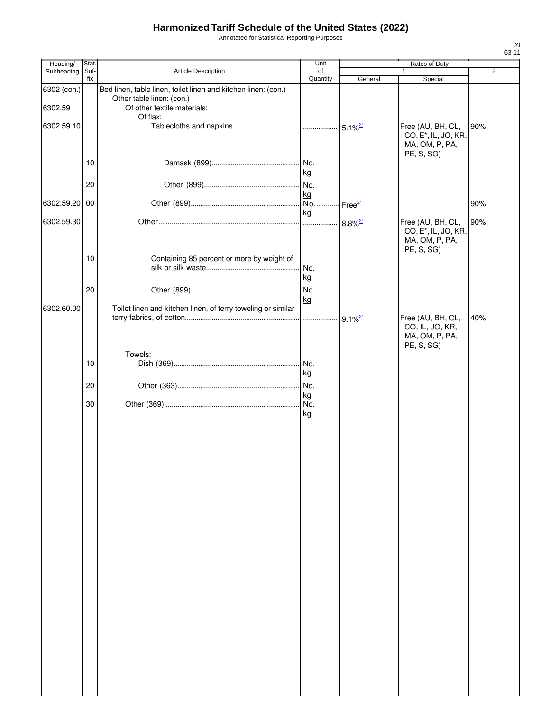Annotated for Statistical Reporting Purposes

| Heading/               | Stat.       |                                                                                                                                        | Unit            |         | Rates of Duty                                                                         |     |
|------------------------|-------------|----------------------------------------------------------------------------------------------------------------------------------------|-----------------|---------|---------------------------------------------------------------------------------------|-----|
| Subheading             | Suf-<br>fix | Article Description                                                                                                                    | of<br>Quantity  | General | 1<br>Special                                                                          | 2   |
| 6302 (con.)<br>6302.59 |             | Bed linen, table linen, toilet linen and kitchen linen: (con.)<br>Other table linen: (con.)<br>Of other textile materials:<br>Of flax: |                 |         |                                                                                       |     |
| 6302.59.10             |             |                                                                                                                                        |                 |         | Free (AU, BH, CL,<br>CO, E <sup>*</sup> , IL, JO, KR,<br>MA, OM, P, PA,<br>PE, S, SG) | 90% |
|                        | 10          |                                                                                                                                        | kg              |         |                                                                                       |     |
| 6302.59.20 00          | 20          |                                                                                                                                        | kg              |         |                                                                                       | 90% |
|                        |             |                                                                                                                                        | kg              |         |                                                                                       |     |
| 6302.59.30             |             |                                                                                                                                        |                 |         | Free (AU, BH, CL,<br>CO, E <sup>*</sup> , IL, JO, KR,<br>MA, OM, P, PA,<br>PE, S, SG) | 90% |
|                        | 10          | Containing 85 percent or more by weight of                                                                                             | No.<br>kg       |         |                                                                                       |     |
|                        | 20          |                                                                                                                                        | No.<br>kg       |         |                                                                                       |     |
| 6302.60.00             |             | Toilet linen and kitchen linen, of terry toweling or similar                                                                           |                 |         | Free (AU, BH, CL,<br>CO, IL, JO, KR,<br>MA, OM, P, PA,<br>PE, S, SG)                  | 40% |
|                        |             | Towels:                                                                                                                                |                 |         |                                                                                       |     |
|                        | 10          |                                                                                                                                        | kg              |         |                                                                                       |     |
|                        | 20          |                                                                                                                                        |                 |         |                                                                                       |     |
|                        | 30          |                                                                                                                                        | kg<br><u>kg</u> |         |                                                                                       |     |
|                        |             |                                                                                                                                        |                 |         |                                                                                       |     |
|                        |             |                                                                                                                                        |                 |         |                                                                                       |     |
|                        |             |                                                                                                                                        |                 |         |                                                                                       |     |
|                        |             |                                                                                                                                        |                 |         |                                                                                       |     |
|                        |             |                                                                                                                                        |                 |         |                                                                                       |     |
|                        |             |                                                                                                                                        |                 |         |                                                                                       |     |
|                        |             |                                                                                                                                        |                 |         |                                                                                       |     |
|                        |             |                                                                                                                                        |                 |         |                                                                                       |     |
|                        |             |                                                                                                                                        |                 |         |                                                                                       |     |
|                        |             |                                                                                                                                        |                 |         |                                                                                       |     |
|                        |             |                                                                                                                                        |                 |         |                                                                                       |     |
|                        |             |                                                                                                                                        |                 |         |                                                                                       |     |
|                        |             |                                                                                                                                        |                 |         |                                                                                       |     |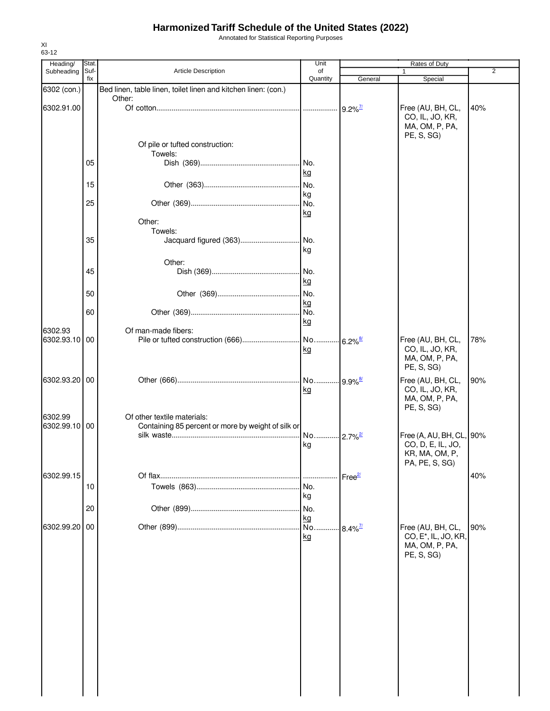Annotated for Statistical Reporting Purposes

| Heading/              | Stat.       |                                                                | Unit                  |                        | Rates of Duty                                         |     |
|-----------------------|-------------|----------------------------------------------------------------|-----------------------|------------------------|-------------------------------------------------------|-----|
| Subheading            | Suf-<br>fix | Article Description                                            | of<br>Quantity        |                        |                                                       | 2   |
|                       |             | Bed linen, table linen, toilet linen and kitchen linen: (con.) |                       | General                | Special                                               |     |
| 6302 (con.)           |             | Other:                                                         |                       |                        |                                                       |     |
| 6302.91.00            |             |                                                                |                       | $9.2\%$ <sup>7/</sup>  | Free (AU, BH, CL,                                     | 40% |
|                       |             |                                                                |                       |                        | CO, IL, JO, KR,                                       |     |
|                       |             |                                                                |                       |                        | MA, OM, P, PA,                                        |     |
|                       |             |                                                                |                       |                        | PE, S, SG)                                            |     |
|                       |             | Of pile or tufted construction:<br>Towels:                     |                       |                        |                                                       |     |
|                       | 05          |                                                                | No.                   |                        |                                                       |     |
|                       |             |                                                                | kg                    |                        |                                                       |     |
|                       | 15          |                                                                | No.                   |                        |                                                       |     |
|                       |             |                                                                | kg                    |                        |                                                       |     |
|                       | 25          |                                                                | No.                   |                        |                                                       |     |
|                       |             |                                                                | kg                    |                        |                                                       |     |
|                       |             | Other:                                                         |                       |                        |                                                       |     |
|                       |             | Towels:                                                        |                       |                        |                                                       |     |
|                       | 35          | Jacquard figured (363)                                         | .l No.                |                        |                                                       |     |
|                       |             |                                                                | kg                    |                        |                                                       |     |
|                       |             | Other:                                                         |                       |                        |                                                       |     |
|                       | 45          |                                                                | No.                   |                        |                                                       |     |
|                       |             |                                                                | kg                    |                        |                                                       |     |
|                       | 50          |                                                                | No.                   |                        |                                                       |     |
|                       |             |                                                                | kg                    |                        |                                                       |     |
|                       | 60          |                                                                | I No.                 |                        |                                                       |     |
|                       |             |                                                                | kg                    |                        |                                                       |     |
| 6302.93<br>6302.93.10 | 00          | Of man-made fibers:                                            |                       |                        | Free (AU, BH, CL,                                     | 78% |
|                       |             |                                                                | kg                    |                        | CO, IL, JO, KR,                                       |     |
|                       |             |                                                                |                       |                        | MA, OM, P, PA,                                        |     |
|                       |             |                                                                |                       |                        | PE, S, SG)                                            |     |
| 6302.93.20 00         |             |                                                                | No                    | $.9.9\%$ <sup>8/</sup> | Free (AU, BH, CL,                                     | 90% |
|                       |             |                                                                | <u>kg</u>             |                        | CO, IL, JO, KR,                                       |     |
|                       |             |                                                                |                       |                        | MA, OM, P, PA,                                        |     |
|                       |             |                                                                |                       |                        | PE, S, SG)                                            |     |
| 6302.99               |             | Of other textile materials:                                    |                       |                        |                                                       |     |
| 6302.99.10 00         |             | Containing 85 percent or more by weight of silk or             |                       |                        |                                                       |     |
|                       |             |                                                                | No 2.7% <sup>2/</sup> |                        | Free (A, AU, BH, CL, 90%                              |     |
|                       |             |                                                                | kg                    |                        | CO, D, E, IL, JO,<br>KR, MA, OM, P,                   |     |
|                       |             |                                                                |                       |                        | PA, PE, S, SG)                                        |     |
|                       |             |                                                                |                       |                        |                                                       |     |
| 6302.99.15            |             |                                                                |                       | Free <sup>27</sup>     |                                                       | 40% |
|                       | 10          |                                                                | No.                   |                        |                                                       |     |
|                       |             |                                                                | kg                    |                        |                                                       |     |
|                       | 20          |                                                                | No.                   |                        |                                                       |     |
|                       |             |                                                                | kg                    |                        |                                                       |     |
| 6302.99.20            | 00          |                                                                | No.<br>kg             | $8.4\%$ <sup>7/</sup>  | Free (AU, BH, CL,<br>CO, E <sup>*</sup> , IL, JO, KR, | 90% |
|                       |             |                                                                |                       |                        | MA, OM, P, PA,                                        |     |
|                       |             |                                                                |                       |                        | PE, S, SG)                                            |     |
|                       |             |                                                                |                       |                        |                                                       |     |
|                       |             |                                                                |                       |                        |                                                       |     |
|                       |             |                                                                |                       |                        |                                                       |     |
|                       |             |                                                                |                       |                        |                                                       |     |
|                       |             |                                                                |                       |                        |                                                       |     |
|                       |             |                                                                |                       |                        |                                                       |     |
|                       |             |                                                                |                       |                        |                                                       |     |
|                       |             |                                                                |                       |                        |                                                       |     |
|                       |             |                                                                |                       |                        |                                                       |     |
|                       |             |                                                                |                       |                        |                                                       |     |
|                       |             |                                                                |                       |                        |                                                       |     |
|                       |             |                                                                |                       |                        |                                                       |     |
|                       |             |                                                                |                       |                        |                                                       |     |
|                       |             |                                                                |                       |                        |                                                       |     |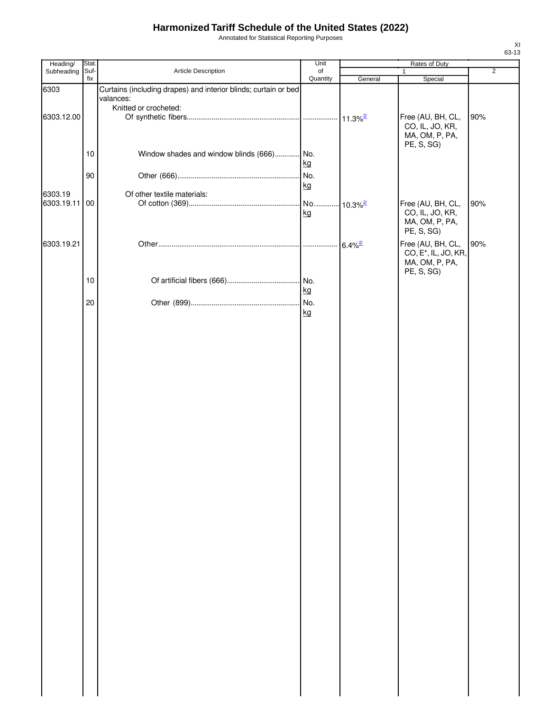Annotated for Statistical Reporting Purposes

| Heading/                 | Stat.       |                                                                                                       | Unit           | Rates of Duty |                                                                                       |                |  |
|--------------------------|-------------|-------------------------------------------------------------------------------------------------------|----------------|---------------|---------------------------------------------------------------------------------------|----------------|--|
| Subheading               | Suf-<br>fix | Article Description                                                                                   | of<br>Quantity | General       | $\mathbf{1}$<br>Special                                                               | $\overline{2}$ |  |
| 6303                     |             | Curtains (including drapes) and interior blinds; curtain or bed<br>valances:<br>Knitted or crocheted: |                |               |                                                                                       |                |  |
| 6303.12.00               |             |                                                                                                       |                |               | Free (AU, BH, CL,<br>CO, IL, JO, KR,<br>MA, OM, P, PA,<br>PE, S, SG)                  | 90%            |  |
|                          | 10          | Window shades and window blinds (666) No.                                                             | kg             |               |                                                                                       |                |  |
|                          | 90          |                                                                                                       | kg             |               |                                                                                       |                |  |
| 6303.19<br>6303.19.11 00 |             | Of other textile materials:                                                                           | kg             |               | Free (AU, BH, CL,<br>CO, IL, JO, KR,<br>MA, OM, P, PA,<br>PE, S, SG)                  | 90%            |  |
| 6303.19.21               |             |                                                                                                       |                |               | Free (AU, BH, CL,<br>CO, E <sup>*</sup> , IL, JO, KR,<br>MA, OM, P, PA,<br>PE, S, SG) | 90%            |  |
|                          | 10          |                                                                                                       | kg             |               |                                                                                       |                |  |
|                          | 20          |                                                                                                       | kg             |               |                                                                                       |                |  |
|                          |             |                                                                                                       |                |               |                                                                                       |                |  |
|                          |             |                                                                                                       |                |               |                                                                                       |                |  |
|                          |             |                                                                                                       |                |               |                                                                                       |                |  |
|                          |             |                                                                                                       |                |               |                                                                                       |                |  |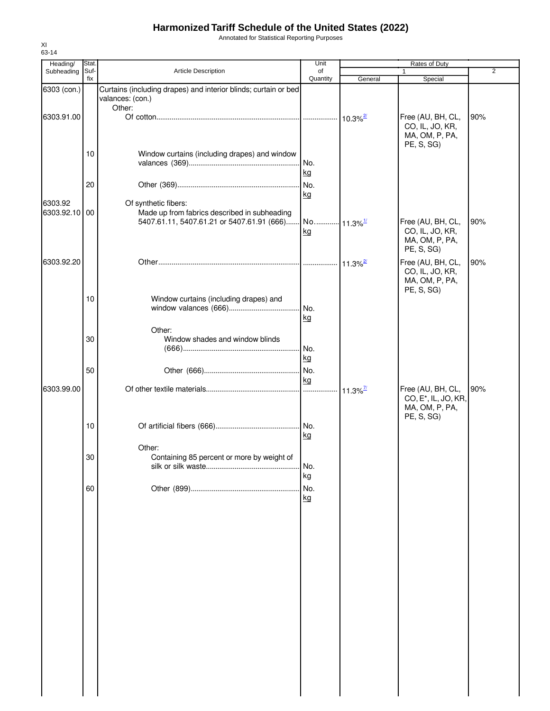Annotated for Statistical Reporting Purposes

| Heading/                 | Stat.       |                                                                                     | Unit             |                        | Rates of Duty                                                                         |                |
|--------------------------|-------------|-------------------------------------------------------------------------------------|------------------|------------------------|---------------------------------------------------------------------------------------|----------------|
| Subheading               | Suf-<br>fix | Article Description                                                                 | of<br>Quantity   | General                | $\mathbf{1}$<br>Special                                                               | $\overline{2}$ |
| 6303 (con.)              |             | Curtains (including drapes) and interior blinds; curtain or bed<br>valances: (con.) |                  |                        |                                                                                       |                |
| 6303.91.00               |             | Other:                                                                              |                  | $10.3\%$ <sup>2/</sup> | Free (AU, BH, CL,<br>CO, IL, JO, KR,<br>MA, OM, P, PA,<br>PE, S, SG)                  | 90%            |
|                          | 10          | Window curtains (including drapes) and window                                       | No.<br>kg        |                        |                                                                                       |                |
|                          | 20          |                                                                                     | kg               |                        |                                                                                       |                |
| 6303.92<br>6303.92.10 00 |             | Of synthetic fibers:<br>Made up from fabrics described in subheading                | kg               |                        | Free (AU, BH, CL,<br>CO, IL, JO, KR,<br>MA, OM, P, PA,<br>PE, S, SG)                  | 90%            |
| 6303.92.20               |             |                                                                                     |                  | $11.3\%$ <sup>2/</sup> | Free (AU, BH, CL,<br>CO, IL, JO, KR,<br>MA, OM, P, PA,<br>PE, S, SG)                  | 90%            |
|                          | 10          | Window curtains (including drapes) and<br>Other:                                    | No.<br>kg        |                        |                                                                                       |                |
|                          | 30          | Window shades and window blinds                                                     | No.<br>kg        |                        |                                                                                       |                |
|                          | 50          |                                                                                     | kg               |                        |                                                                                       |                |
| 6303.99.00               |             |                                                                                     |                  | $11.3\%$ <sup>7/</sup> | Free (AU, BH, CL,<br>CO, E <sup>*</sup> , IL, JO, KR,<br>MA, OM, P, PA,<br>PE, S, SG) | 90%            |
|                          | 10          |                                                                                     | kg               |                        |                                                                                       |                |
|                          | 30          | Other:<br>Containing 85 percent or more by weight of                                | No.<br>kg        |                        |                                                                                       |                |
|                          | 60          |                                                                                     | No.<br><u>kg</u> |                        |                                                                                       |                |
|                          |             |                                                                                     |                  |                        |                                                                                       |                |
|                          |             |                                                                                     |                  |                        |                                                                                       |                |
|                          |             |                                                                                     |                  |                        |                                                                                       |                |
|                          |             |                                                                                     |                  |                        |                                                                                       |                |
|                          |             |                                                                                     |                  |                        |                                                                                       |                |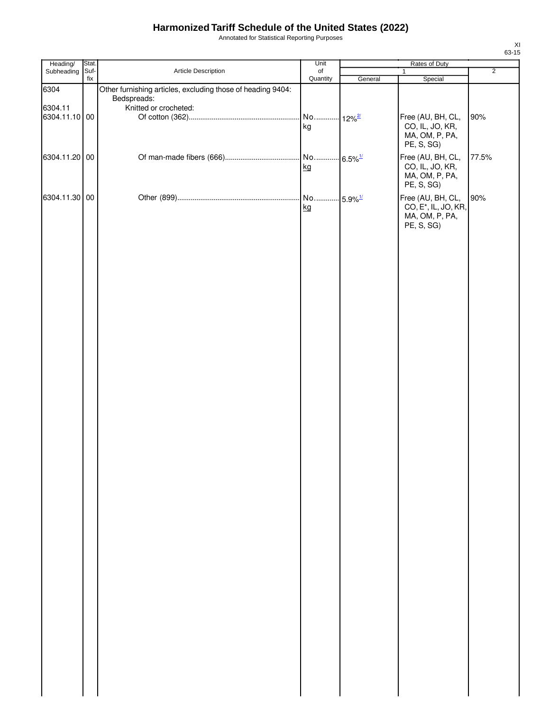Annotated for Statistical Reporting Purposes

| Heading/      | Stat. |                                                             | Unit     | Rates of Duty          |                                   |                |  |
|---------------|-------|-------------------------------------------------------------|----------|------------------------|-----------------------------------|----------------|--|
| Subheading    | Suf-  | Article Description                                         | of       |                        | $\mathbf{1}$                      | $\overline{2}$ |  |
|               | fix   |                                                             | Quantity | General                | Special                           |                |  |
| 6304          |       | Other furnishing articles, excluding those of heading 9404: |          |                        |                                   |                |  |
| 6304.11       |       | Bedspreads:<br>Knitted or crocheted:                        |          |                        |                                   |                |  |
| 6304.11.10 00 |       |                                                             | No       | $12\%$ <sup>2/</sup>   | Free (AU, BH, CL,                 | 90%            |  |
|               |       |                                                             | kg       |                        | CO, IL, JO, KR,                   |                |  |
|               |       |                                                             |          |                        | MA, OM, P, PA,                    |                |  |
|               |       |                                                             |          |                        | PE, S, SG)                        |                |  |
|               |       |                                                             |          |                        |                                   |                |  |
| 6304.11.20 00 |       |                                                             |          | $6.5\%$ <sup>1/</sup>  | Free (AU, BH, CL,                 | 77.5%          |  |
|               |       |                                                             | kg       |                        | CO, IL, JO, KR,<br>MA, OM, P, PA, |                |  |
|               |       |                                                             |          |                        | PE, S, SG)                        |                |  |
|               |       |                                                             |          |                        |                                   |                |  |
| 6304.11.30 00 |       |                                                             | No       | $-5.9\%$ <sup>1/</sup> | Free (AU, BH, CL,                 | 90%            |  |
|               |       |                                                             | kg       |                        | CO, E <sup>*</sup> , IL, JO, KR,  |                |  |
|               |       |                                                             |          |                        | MA, OM, P, PA,<br>PE, S, SG)      |                |  |
|               |       |                                                             |          |                        |                                   |                |  |
|               |       |                                                             |          |                        |                                   |                |  |
|               |       |                                                             |          |                        |                                   |                |  |
|               |       |                                                             |          |                        |                                   |                |  |
|               |       |                                                             |          |                        |                                   |                |  |
|               |       |                                                             |          |                        |                                   |                |  |
|               |       |                                                             |          |                        |                                   |                |  |
|               |       |                                                             |          |                        |                                   |                |  |
|               |       |                                                             |          |                        |                                   |                |  |
|               |       |                                                             |          |                        |                                   |                |  |
|               |       |                                                             |          |                        |                                   |                |  |
|               |       |                                                             |          |                        |                                   |                |  |
|               |       |                                                             |          |                        |                                   |                |  |
|               |       |                                                             |          |                        |                                   |                |  |
|               |       |                                                             |          |                        |                                   |                |  |
|               |       |                                                             |          |                        |                                   |                |  |
|               |       |                                                             |          |                        |                                   |                |  |
|               |       |                                                             |          |                        |                                   |                |  |
|               |       |                                                             |          |                        |                                   |                |  |
|               |       |                                                             |          |                        |                                   |                |  |
|               |       |                                                             |          |                        |                                   |                |  |
|               |       |                                                             |          |                        |                                   |                |  |
|               |       |                                                             |          |                        |                                   |                |  |
|               |       |                                                             |          |                        |                                   |                |  |
|               |       |                                                             |          |                        |                                   |                |  |
|               |       |                                                             |          |                        |                                   |                |  |
|               |       |                                                             |          |                        |                                   |                |  |
|               |       |                                                             |          |                        |                                   |                |  |
|               |       |                                                             |          |                        |                                   |                |  |
|               |       |                                                             |          |                        |                                   |                |  |
|               |       |                                                             |          |                        |                                   |                |  |
|               |       |                                                             |          |                        |                                   |                |  |
|               |       |                                                             |          |                        |                                   |                |  |
|               |       |                                                             |          |                        |                                   |                |  |
|               |       |                                                             |          |                        |                                   |                |  |
|               |       |                                                             |          |                        |                                   |                |  |
|               |       |                                                             |          |                        |                                   |                |  |
|               |       |                                                             |          |                        |                                   |                |  |
|               |       |                                                             |          |                        |                                   |                |  |
|               |       |                                                             |          |                        |                                   |                |  |
|               |       |                                                             |          |                        |                                   |                |  |
|               |       |                                                             |          |                        |                                   |                |  |
|               |       |                                                             |          |                        |                                   |                |  |
|               |       |                                                             |          |                        |                                   |                |  |
|               |       |                                                             |          |                        |                                   |                |  |
|               |       |                                                             |          |                        |                                   |                |  |
|               |       |                                                             |          |                        |                                   |                |  |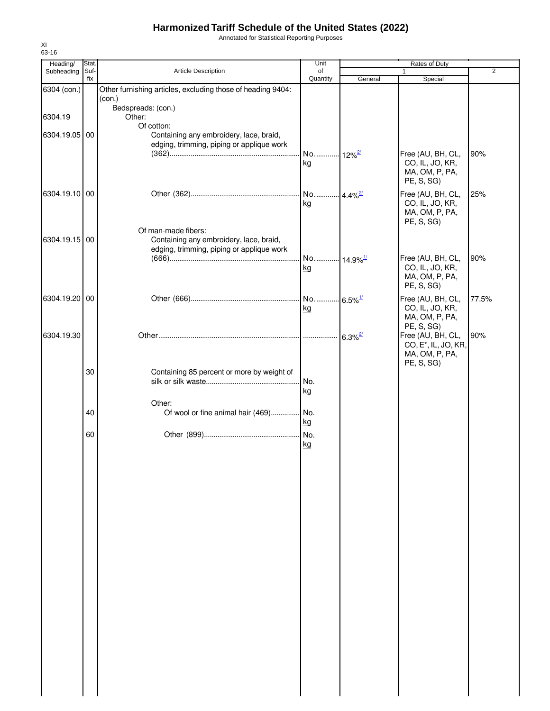Annotated for Statistical Reporting Purposes

| Heading/      | Stat.       |                                                                                                             | Unit                       | Rates of Duty |                                                                                       |                |
|---------------|-------------|-------------------------------------------------------------------------------------------------------------|----------------------------|---------------|---------------------------------------------------------------------------------------|----------------|
| Subheading    | Suf-<br>fix | Article Description                                                                                         | of<br>Quantity             | General       | $\mathbf{1}$<br>Special                                                               | $\overline{2}$ |
| 6304 (con.)   |             | Other furnishing articles, excluding those of heading 9404:<br>(con.)                                       |                            |               |                                                                                       |                |
| 6304.19       |             | Bedspreads: (con.)<br>Other:<br>Of cotton:                                                                  |                            |               |                                                                                       |                |
| 6304.19.05 00 |             | Containing any embroidery, lace, braid,<br>edging, trimming, piping or applique work                        |                            |               |                                                                                       |                |
|               |             |                                                                                                             | No 12% <sup>2/</sup><br>kg |               | Free (AU, BH, CL,<br>CO, IL, JO, KR,<br>MA, OM, P, PA,<br>PE, S, SG)                  | 90%            |
| 6304.19.10 00 |             |                                                                                                             | kg                         |               | Free (AU, BH, CL,<br>CO, IL, JO, KR,<br>MA, OM, P, PA,<br>PE, S, SG)                  | 25%            |
| 6304.19.15 00 |             | Of man-made fibers:<br>Containing any embroidery, lace, braid,<br>edging, trimming, piping or applique work | No 14.9% <sup>1/</sup>     |               | Free (AU, BH, CL,                                                                     | 90%            |
|               |             |                                                                                                             | kg                         |               | CO, IL, JO, KR,<br>MA, OM, P, PA,<br>PE, S, SG)                                       |                |
| 6304.19.20 00 |             |                                                                                                             | kg                         |               | Free (AU, BH, CL,<br>CO, IL, JO, KR,<br>MA, OM, P, PA,<br>PE, S, SG)                  | 77.5%          |
| 6304.19.30    |             |                                                                                                             |                            |               | Free (AU, BH, CL,<br>CO, E <sup>*</sup> , IL, JO, KR,<br>MA, OM, P, PA,<br>PE, S, SG) | 90%            |
|               | 30          | Containing 85 percent or more by weight of                                                                  | kg                         |               |                                                                                       |                |
|               | 40          | Other:<br>Of wool or fine animal hair (469) No.                                                             | kg                         |               |                                                                                       |                |
|               | 60          |                                                                                                             | <u>kg</u>                  |               |                                                                                       |                |
|               |             |                                                                                                             |                            |               |                                                                                       |                |
|               |             |                                                                                                             |                            |               |                                                                                       |                |
|               |             |                                                                                                             |                            |               |                                                                                       |                |
|               |             |                                                                                                             |                            |               |                                                                                       |                |
|               |             |                                                                                                             |                            |               |                                                                                       |                |
|               |             |                                                                                                             |                            |               |                                                                                       |                |
|               |             |                                                                                                             |                            |               |                                                                                       |                |
|               |             |                                                                                                             |                            |               |                                                                                       |                |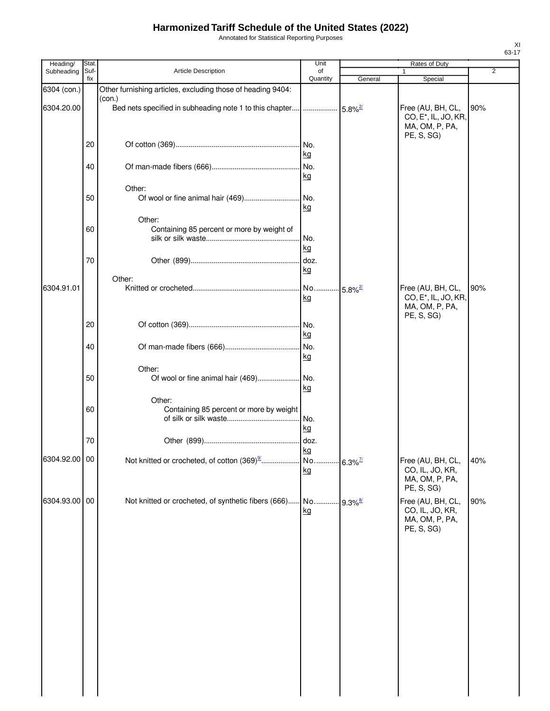Annotated for Statistical Reporting Purposes

| Heading/      | <b>Stat</b> |                                                                   | Unit        |                        | Rates of Duty                                                                         |                |
|---------------|-------------|-------------------------------------------------------------------|-------------|------------------------|---------------------------------------------------------------------------------------|----------------|
| Subheading    | Suf-        | Article Description                                               | of          |                        | 1                                                                                     | $\overline{2}$ |
| 6304 (con.)   | fix         | Other furnishing articles, excluding those of heading 9404:       | Quantity    | General                | Special                                                                               |                |
| 6304.20.00    |             | (con.)<br>Bed nets specified in subheading note 1 to this chapter |             |                        | Free (AU, BH, CL,<br>CO, E <sup>*</sup> , IL, JO, KR,<br>MA, OM, P, PA,<br>PE, S, SG) | 90%            |
|               | 20          |                                                                   | . No.<br>kg |                        |                                                                                       |                |
|               | 40          |                                                                   | No.<br>kg   |                        |                                                                                       |                |
|               |             | Other:                                                            |             |                        |                                                                                       |                |
|               | 50          |                                                                   | kg          |                        |                                                                                       |                |
|               |             | Other:                                                            |             |                        |                                                                                       |                |
|               | 60          | Containing 85 percent or more by weight of                        | No.<br>kg   |                        |                                                                                       |                |
|               | 70          |                                                                   | doz.<br>kg  |                        |                                                                                       |                |
|               |             | Other:                                                            |             |                        |                                                                                       |                |
| 6304.91.01    |             |                                                                   | No<br>kg    | $5.8\%$ <sup>2/</sup>  | Free (AU, BH, CL,<br>CO, E <sup>*</sup> , IL, JO, KR,<br>MA, OM, P, PA,               | 90%            |
|               | 20          |                                                                   | No.<br>kg   |                        | PE, S, SG)                                                                            |                |
|               | 40          |                                                                   | No.<br>kg   |                        |                                                                                       |                |
|               | 50          | Other:                                                            | kg          |                        |                                                                                       |                |
|               | 60          | Other:<br>Containing 85 percent or more by weight                 | No.<br>kg   |                        |                                                                                       |                |
|               | 70          |                                                                   | doz.<br>kg  |                        |                                                                                       |                |
| 6304.92.00 00 |             |                                                                   | kg          |                        | Free (AU, BH, CL,<br>CO, IL, JO, KR,<br>MA, OM, P, PA,<br>PE, S, SG)                  | 40%            |
| 6304.93.00 00 |             | Not knitted or crocheted, of synthetic fibers (666) No            | kg          | $-9.3\%$ <sup>8/</sup> | Free (AU, BH, CL,<br>CO, IL, JO, KR,<br>MA, OM, P, PA,<br>PE, S, SG)                  | 90%            |
|               |             |                                                                   |             |                        |                                                                                       |                |
|               |             |                                                                   |             |                        |                                                                                       |                |
|               |             |                                                                   |             |                        |                                                                                       |                |
|               |             |                                                                   |             |                        |                                                                                       |                |
|               |             |                                                                   |             |                        |                                                                                       |                |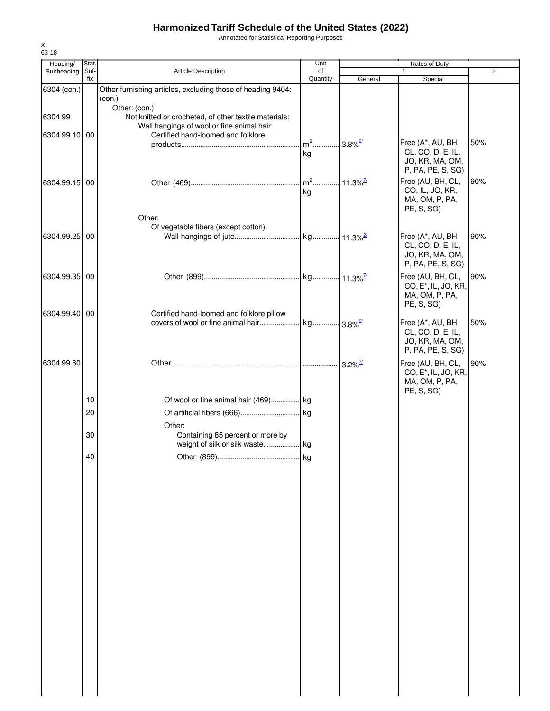Annotated for Statistical Reporting Purposes

| Heading/      | Stat.       |                                                                                                     | Unit                              |         | Rates of Duty                          |                |
|---------------|-------------|-----------------------------------------------------------------------------------------------------|-----------------------------------|---------|----------------------------------------|----------------|
| Subheading    | Suf-<br>fix | <b>Article Description</b>                                                                          | of<br>Quantity                    | General | 1<br>Special                           | $\overline{2}$ |
| 6304 (con.)   |             | Other furnishing articles, excluding those of heading 9404:                                         |                                   |         |                                        |                |
|               |             | (con.)                                                                                              |                                   |         |                                        |                |
| 6304.99       |             | Other: (con.)                                                                                       |                                   |         |                                        |                |
|               |             | Not knitted or crocheted, of other textile materials:<br>Wall hangings of wool or fine animal hair: |                                   |         |                                        |                |
| 6304.99.10 00 |             | Certified hand-loomed and folklore                                                                  |                                   |         |                                        |                |
|               |             |                                                                                                     | m <sup>2</sup> 3.8% <sup>2/</sup> |         | Free (A*, AU, BH,                      | 50%            |
|               |             |                                                                                                     | kg                                |         | CL, CO, D, E, IL,                      |                |
|               |             |                                                                                                     |                                   |         | JO, KR, MA, OM,<br>P, PA, PE, S, SG)   |                |
|               |             |                                                                                                     |                                   |         | Free (AU, BH, CL,                      | 90%            |
| 6304.99.15 00 |             |                                                                                                     |                                   |         | CO, IL, JO, KR,                        |                |
|               |             |                                                                                                     | kg                                |         | MA, OM, P, PA,                         |                |
|               |             |                                                                                                     |                                   |         | PE, S, SG)                             |                |
|               |             | Other:                                                                                              |                                   |         |                                        |                |
|               |             | Of vegetable fibers (except cotton):                                                                |                                   |         |                                        |                |
| 6304.99.25 00 |             |                                                                                                     |                                   |         | Free (A*, AU, BH,<br>CL, CO, D, E, IL, | 90%            |
|               |             |                                                                                                     |                                   |         | JO, KR, MA, OM,                        |                |
|               |             |                                                                                                     |                                   |         | P, PA, PE, S, SG)                      |                |
| 6304.99.35 00 |             |                                                                                                     |                                   |         | Free (AU, BH, CL,                      | 90%            |
|               |             |                                                                                                     |                                   |         | CO, E <sup>*</sup> , IL, JO, KR,       |                |
|               |             |                                                                                                     |                                   |         | MA, OM, P, PA,                         |                |
|               |             |                                                                                                     |                                   |         | PE, S, SG)                             |                |
| 6304.99.40 00 |             | Certified hand-loomed and folklore pillow                                                           |                                   |         |                                        |                |
|               |             |                                                                                                     |                                   |         | Free (A*, AU, BH,<br>CL, CO, D, E, IL, | 50%            |
|               |             |                                                                                                     |                                   |         | JO, KR, MA, OM,                        |                |
|               |             |                                                                                                     |                                   |         | P, PA, PE, S, SG)                      |                |
| 6304.99.60    |             |                                                                                                     |                                   |         | Free (AU, BH, CL,                      | 90%            |
|               |             |                                                                                                     |                                   |         | CO, E <sup>*</sup> , IL, JO, KR,       |                |
|               |             |                                                                                                     |                                   |         | MA, OM, P, PA,                         |                |
|               |             |                                                                                                     |                                   |         | PE, S, SG)                             |                |
|               | 10          | Of wool or fine animal hair (469) kg                                                                |                                   |         |                                        |                |
|               | 20          |                                                                                                     |                                   |         |                                        |                |
|               |             | Other:                                                                                              |                                   |         |                                        |                |
|               | 30          | Containing 85 percent or more by                                                                    |                                   |         |                                        |                |
|               |             |                                                                                                     |                                   |         |                                        |                |
|               | 40          |                                                                                                     |                                   |         |                                        |                |
|               |             |                                                                                                     |                                   |         |                                        |                |
|               |             |                                                                                                     |                                   |         |                                        |                |
|               |             |                                                                                                     |                                   |         |                                        |                |
|               |             |                                                                                                     |                                   |         |                                        |                |
|               |             |                                                                                                     |                                   |         |                                        |                |
|               |             |                                                                                                     |                                   |         |                                        |                |
|               |             |                                                                                                     |                                   |         |                                        |                |
|               |             |                                                                                                     |                                   |         |                                        |                |
|               |             |                                                                                                     |                                   |         |                                        |                |
|               |             |                                                                                                     |                                   |         |                                        |                |
|               |             |                                                                                                     |                                   |         |                                        |                |
|               |             |                                                                                                     |                                   |         |                                        |                |
|               |             |                                                                                                     |                                   |         |                                        |                |
|               |             |                                                                                                     |                                   |         |                                        |                |
|               |             |                                                                                                     |                                   |         |                                        |                |
|               |             |                                                                                                     |                                   |         |                                        |                |
|               |             |                                                                                                     |                                   |         |                                        |                |
|               |             |                                                                                                     |                                   |         |                                        |                |
|               |             |                                                                                                     |                                   |         |                                        |                |
|               |             |                                                                                                     |                                   |         |                                        |                |
|               |             |                                                                                                     |                                   |         |                                        |                |
|               |             |                                                                                                     |                                   |         |                                        |                |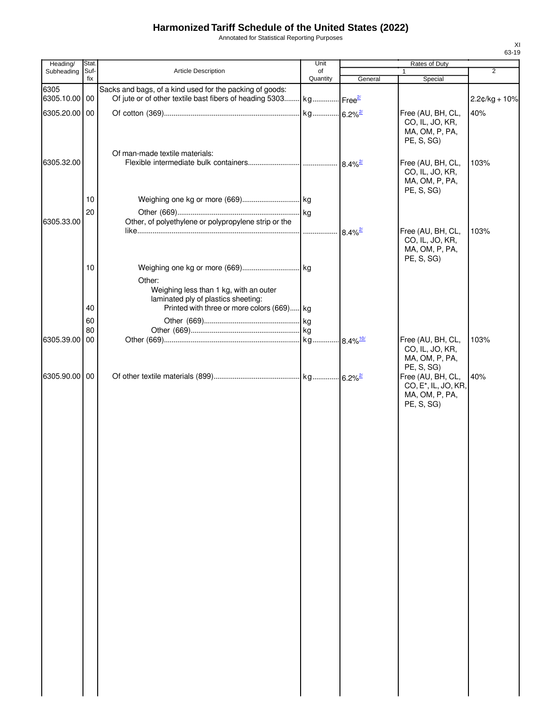Annotated for Statistical Reporting Purposes

| Heading/      | Stat.       |                                                                                                                                       | Unit           |         | Rates of Duty                                                                         |                 |
|---------------|-------------|---------------------------------------------------------------------------------------------------------------------------------------|----------------|---------|---------------------------------------------------------------------------------------|-----------------|
| Subheading    | Suf-<br>fix | Article Description                                                                                                                   | of<br>Quantity | General | $\mathbf{1}$<br>Special                                                               | $\overline{2}$  |
| 6305          |             | Sacks and bags, of a kind used for the packing of goods:                                                                              |                |         |                                                                                       |                 |
| 6305.10.00 00 |             | Of jute or of other textile bast fibers of heading 5303 kg Free <sup>21</sup>                                                         |                |         |                                                                                       | $2.2¢/kg + 10%$ |
| 6305.20.00 00 |             |                                                                                                                                       |                |         | Free (AU, BH, CL,<br>CO, IL, JO, KR,<br>MA, OM, P, PA,<br>PE, S, SG)                  | 40%             |
|               |             | Of man-made textile materials:                                                                                                        |                |         |                                                                                       |                 |
| 6305.32.00    |             |                                                                                                                                       |                |         | Free (AU, BH, CL,<br>CO, IL, JO, KR,<br>MA, OM, P, PA,<br>PE, S, SG)                  | 103%            |
|               | 10          |                                                                                                                                       |                |         |                                                                                       |                 |
|               | 20          |                                                                                                                                       |                |         |                                                                                       |                 |
| 6305.33.00    |             | Other, of polyethylene or polypropylene strip or the                                                                                  |                |         |                                                                                       |                 |
|               |             |                                                                                                                                       |                |         | Free (AU, BH, CL,<br>CO, IL, JO, KR,<br>MA, OM, P, PA,<br>PE, S, SG)                  | 103%            |
|               | 10          |                                                                                                                                       |                |         |                                                                                       |                 |
|               | 40          | Other:<br>Weighing less than 1 kg, with an outer<br>laminated ply of plastics sheeting:<br>Printed with three or more colors (669) kg |                |         |                                                                                       |                 |
|               |             |                                                                                                                                       |                |         |                                                                                       |                 |
|               | 60<br>80    |                                                                                                                                       |                |         |                                                                                       |                 |
| 6305.39.00 00 |             |                                                                                                                                       |                |         | Free (AU, BH, CL,                                                                     | 103%            |
|               |             |                                                                                                                                       |                |         | CO, IL, JO, KR,<br>MA, OM, P, PA,<br>PE, S, SG)                                       |                 |
| 6305.90.00 00 |             |                                                                                                                                       |                |         | Free (AU, BH, CL,<br>CO, E <sup>*</sup> , IL, JO, KR,<br>MA, OM, P, PA,<br>PE, S, SG) | 40%             |
|               |             |                                                                                                                                       |                |         |                                                                                       |                 |
|               |             |                                                                                                                                       |                |         |                                                                                       |                 |
|               |             |                                                                                                                                       |                |         |                                                                                       |                 |
|               |             |                                                                                                                                       |                |         |                                                                                       |                 |
|               |             |                                                                                                                                       |                |         |                                                                                       |                 |
|               |             |                                                                                                                                       |                |         |                                                                                       |                 |
|               |             |                                                                                                                                       |                |         |                                                                                       |                 |
|               |             |                                                                                                                                       |                |         |                                                                                       |                 |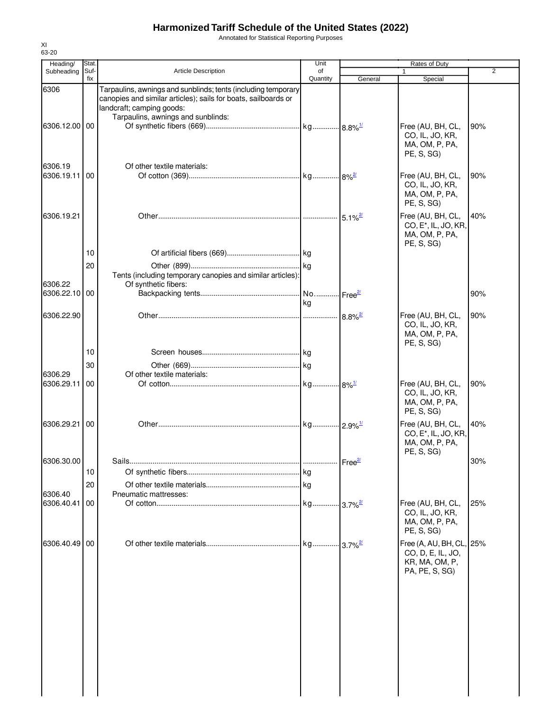Annotated for Statistical Reporting Purposes

| Heading/                 | Stat.       |                                                                                                                                                                                                    | Unit           |         | Rates of Duty                                                                         |                |
|--------------------------|-------------|----------------------------------------------------------------------------------------------------------------------------------------------------------------------------------------------------|----------------|---------|---------------------------------------------------------------------------------------|----------------|
| Subheading               | Suf-<br>fix | <b>Article Description</b>                                                                                                                                                                         | of<br>Quantity | General | $\mathbf{1}$<br>Special                                                               | $\overline{2}$ |
| 6306                     |             | Tarpaulins, awnings and sunblinds; tents (including temporary<br>canopies and similar articles); sails for boats, sailboards or<br>landcraft; camping goods:<br>Tarpaulins, awnings and sunblinds: |                |         |                                                                                       |                |
| 6306.12.00 00            |             |                                                                                                                                                                                                    |                |         | Free (AU, BH, CL,<br>CO, IL, JO, KR,<br>MA, OM, P, PA,<br>PE, S, SG)                  | 90%            |
| 6306.19<br>6306.19.11 00 |             | Of other textile materials:                                                                                                                                                                        |                |         | Free (AU, BH, CL,<br>CO, IL, JO, KR,<br>MA, OM, P, PA,<br>PE, S, SG)                  | 90%            |
| 6306.19.21               |             |                                                                                                                                                                                                    |                |         | Free (AU, BH, CL,<br>CO, E <sup>*</sup> , IL, JO, KR,<br>MA, OM, P, PA,<br>PE, S, SG) | 40%            |
|                          | 10          |                                                                                                                                                                                                    |                |         |                                                                                       |                |
| 6306.22                  | 20          | Tents (including temporary canopies and similar articles):<br>Of synthetic fibers:                                                                                                                 |                |         |                                                                                       |                |
| 6306.22.10 00            |             |                                                                                                                                                                                                    | kg             |         |                                                                                       | 90%            |
| 6306.22.90               |             |                                                                                                                                                                                                    |                |         | Free (AU, BH, CL,<br>CO, IL, JO, KR,<br>MA, OM, P, PA,<br>PE, S, SG)                  | 90%            |
|                          | 10          |                                                                                                                                                                                                    |                |         |                                                                                       |                |
|                          | 30          |                                                                                                                                                                                                    |                |         |                                                                                       |                |
| 6306.29<br>6306.29.11    | 00          | Of other textile materials:                                                                                                                                                                        |                |         | Free (AU, BH, CL,<br>CO, IL, JO, KR,<br>MA, OM, P, PA,<br>PE, S, SG)                  | 90%            |
| 6306.29.21               | 00          |                                                                                                                                                                                                    |                |         | Free (AU, BH, CL,<br>CO, E <sup>*</sup> , IL, JO, KR,<br>MA, OM, P, PA,<br>PE, S, SG) | 40%            |
| 6306.30.00               |             | Sails                                                                                                                                                                                              |                |         |                                                                                       | 30%            |
|                          | 10          |                                                                                                                                                                                                    |                |         |                                                                                       |                |
|                          | 20          |                                                                                                                                                                                                    |                |         |                                                                                       |                |
| 6306.40<br>6306.40.41    | 00          | Pneumatic mattresses:                                                                                                                                                                              |                |         | Free (AU, BH, CL,<br>CO, IL, JO, KR,<br>MA, OM, P, PA,<br>PE, S, SG)                  | 25%            |
| 6306.40.49 00            |             |                                                                                                                                                                                                    |                |         | Free (A, AU, BH, CL, 25%<br>CO, D, E, IL, JO,<br>KR, MA, OM, P,<br>PA, PE, S, SG)     |                |
|                          |             |                                                                                                                                                                                                    |                |         |                                                                                       |                |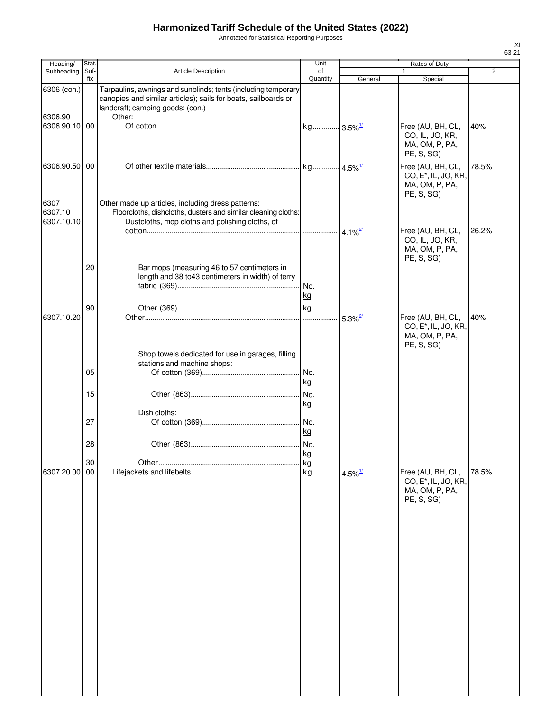Annotated for Statistical Reporting Purposes

| Heading/                      | Stat        |                                                                                                                                                                               | Unit            |         | Rates of Duty                                                                         |                |
|-------------------------------|-------------|-------------------------------------------------------------------------------------------------------------------------------------------------------------------------------|-----------------|---------|---------------------------------------------------------------------------------------|----------------|
| Subheading                    | Suf-<br>fix | Article Description                                                                                                                                                           | of<br>Quantity  | General | Special                                                                               | $\overline{2}$ |
| 6306 (con.)<br>6306.90        |             | Tarpaulins, awnings and sunblinds; tents (including temporary<br>canopies and similar articles); sails for boats, sailboards or<br>landcraft; camping goods: (con.)<br>Other: |                 |         |                                                                                       |                |
| 6306.90.10 00                 |             |                                                                                                                                                                               |                 |         | Free (AU, BH, CL,<br>CO, IL, JO, KR,<br>MA, OM, P, PA,<br>PE, S, SG)                  | 40%            |
| 6306.90.50 00                 |             |                                                                                                                                                                               |                 |         | Free (AU, BH, CL,<br>CO, E <sup>*</sup> , IL, JO, KR,<br>MA, OM, P, PA,<br>PE, S, SG) | 78.5%          |
| 6307<br>6307.10<br>6307.10.10 |             | Other made up articles, including dress patterns:<br>Floorcloths, dishcloths, dusters and similar cleaning cloths:<br>Dustcloths, mop cloths and polishing cloths, of         |                 |         | Free (AU, BH, CL,<br>CO, IL, JO, KR,<br>MA, OM, P, PA,                                | 26.2%          |
|                               | 20          | Bar mops (measuring 46 to 57 centimeters in<br>length and 38 to 43 centimeters in width) of terry                                                                             | .lNo.<br>kg     |         | PE, S, SG)                                                                            |                |
| 6307.10.20                    | 90          |                                                                                                                                                                               |                 |         | Free (AU, BH, CL,<br>CO, E <sup>*</sup> , IL, JO, KR,<br>MA, OM, P, PA,<br>PE, S, SG) | 40%            |
|                               | 05          | Shop towels dedicated for use in garages, filling<br>stations and machine shops:                                                                                              | kg              |         |                                                                                       |                |
|                               | 15<br>27    | Dish cloths:                                                                                                                                                                  | No.<br>kg<br>kg |         |                                                                                       |                |
|                               | 28<br>30    |                                                                                                                                                                               | kg              |         |                                                                                       |                |
| 6307.20.00 00                 |             |                                                                                                                                                                               |                 |         | Free (AU, BH, CL,<br>CO, E <sup>*</sup> , IL, JO, KR,<br>MA, OM, P, PA,<br>PE, S, SG) | 78.5%          |
|                               |             |                                                                                                                                                                               |                 |         |                                                                                       |                |
|                               |             |                                                                                                                                                                               |                 |         |                                                                                       |                |
|                               |             |                                                                                                                                                                               |                 |         |                                                                                       |                |
|                               |             |                                                                                                                                                                               |                 |         |                                                                                       |                |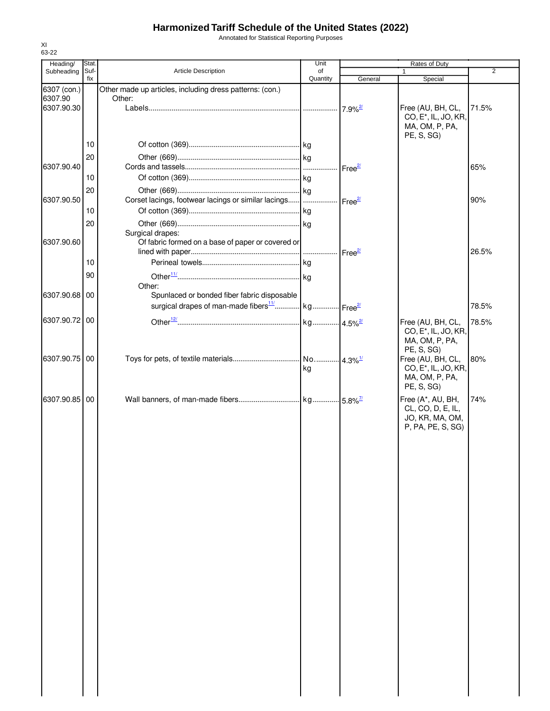Annotated for Statistical Reporting Purposes

| Heading/               | Stat. |                                                                       | Unit     |                        | Rates of Duty                                         |                |
|------------------------|-------|-----------------------------------------------------------------------|----------|------------------------|-------------------------------------------------------|----------------|
| Subheading             | Suf-  | Article Description                                                   | of       |                        |                                                       | $\overline{2}$ |
|                        | fix   |                                                                       | Quantity | General                | Special                                               |                |
| 6307 (con.)<br>6307.90 |       | Other made up articles, including dress patterns: (con.)<br>Other:    |          |                        |                                                       |                |
| 6307.90.30             |       |                                                                       |          | $7.9\%$ <sup>2/</sup>  | Free (AU, BH, CL,                                     | 71.5%          |
|                        |       |                                                                       |          |                        | CO, E <sup>*</sup> , IL, JO, KR,                      |                |
|                        |       |                                                                       |          |                        | MA, OM, P, PA,                                        |                |
|                        |       |                                                                       |          |                        | PE, S, SG)                                            |                |
|                        | 10    |                                                                       |          |                        |                                                       |                |
|                        | 20    |                                                                       |          |                        |                                                       |                |
| 6307.90.40             |       |                                                                       |          | Free $\frac{27}{2}$    |                                                       | 65%            |
|                        | 10    |                                                                       |          |                        |                                                       |                |
|                        | 20    |                                                                       |          |                        |                                                       |                |
| 6307.90.50             |       | Corset lacings, footwear lacings or similar lacings                   |          | Free <sup>2/</sup>     |                                                       | 90%            |
|                        | 10    |                                                                       |          |                        |                                                       |                |
|                        | 20    |                                                                       |          |                        |                                                       |                |
|                        |       | Surgical drapes:                                                      |          |                        |                                                       |                |
| 6307.90.60             |       | Of fabric formed on a base of paper or covered or                     |          |                        |                                                       |                |
|                        |       |                                                                       |          | Free <sup>2/</sup>     |                                                       | 26.5%          |
|                        | 10    |                                                                       |          |                        |                                                       |                |
|                        | 90    |                                                                       |          |                        |                                                       |                |
|                        |       | Other:                                                                |          |                        |                                                       |                |
| 6307.90.68 00          |       | Spunlaced or bonded fiber fabric disposable                           |          |                        |                                                       |                |
|                        |       | surgical drapes of man-made fibers <sup>11</sup> kg Free <sup>2</sup> |          |                        |                                                       | 78.5%          |
| 6307.90.72 00          |       |                                                                       |          |                        | Free (AU, BH, CL,                                     | 78.5%          |
|                        |       |                                                                       |          |                        | CO, E <sup>*</sup> , IL, JO, KR,                      |                |
|                        |       |                                                                       |          |                        | MA, OM, P, PA,                                        |                |
| 6307.90.75 00          |       |                                                                       |          |                        | PE, S, SG)                                            |                |
|                        |       |                                                                       | kg       | $4.3\%$ <sup>1/</sup>  | Free (AU, BH, CL,<br>CO, E <sup>*</sup> , IL, JO, KR, | 80%            |
|                        |       |                                                                       |          |                        | MA, OM, P, PA,                                        |                |
|                        |       |                                                                       |          |                        | PE, S, SG)                                            |                |
| 6307.90.85 00          |       |                                                                       |          | $-5.8\%$ <sup>7/</sup> | Free (A*, AU, BH,                                     | 74%            |
|                        |       |                                                                       |          |                        | CL, CO, D, E, IL,                                     |                |
|                        |       |                                                                       |          |                        | JO, KR, MA, OM,                                       |                |
|                        |       |                                                                       |          |                        | P, PA, PE, S, SG)                                     |                |
|                        |       |                                                                       |          |                        |                                                       |                |
|                        |       |                                                                       |          |                        |                                                       |                |
|                        |       |                                                                       |          |                        |                                                       |                |
|                        |       |                                                                       |          |                        |                                                       |                |
|                        |       |                                                                       |          |                        |                                                       |                |
|                        |       |                                                                       |          |                        |                                                       |                |
|                        |       |                                                                       |          |                        |                                                       |                |
|                        |       |                                                                       |          |                        |                                                       |                |
|                        |       |                                                                       |          |                        |                                                       |                |
|                        |       |                                                                       |          |                        |                                                       |                |
|                        |       |                                                                       |          |                        |                                                       |                |
|                        |       |                                                                       |          |                        |                                                       |                |
|                        |       |                                                                       |          |                        |                                                       |                |
|                        |       |                                                                       |          |                        |                                                       |                |
|                        |       |                                                                       |          |                        |                                                       |                |
|                        |       |                                                                       |          |                        |                                                       |                |
|                        |       |                                                                       |          |                        |                                                       |                |
|                        |       |                                                                       |          |                        |                                                       |                |
|                        |       |                                                                       |          |                        |                                                       |                |
|                        |       |                                                                       |          |                        |                                                       |                |
|                        |       |                                                                       |          |                        |                                                       |                |
|                        |       |                                                                       |          |                        |                                                       |                |
|                        |       |                                                                       |          |                        |                                                       |                |
|                        |       |                                                                       |          |                        |                                                       |                |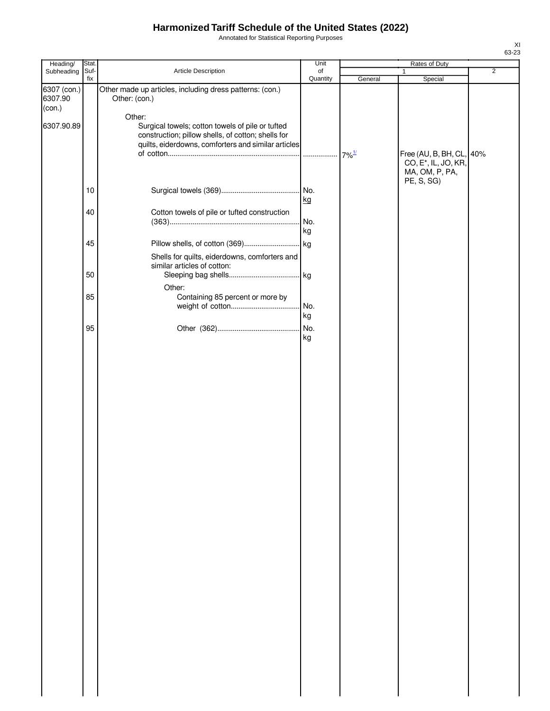Annotated for Statistical Reporting Purposes

| Heading/                         | Stat.       |                                                                                                                                                                         | Unit           |                     | Rates of Duty                                                    |                |
|----------------------------------|-------------|-------------------------------------------------------------------------------------------------------------------------------------------------------------------------|----------------|---------------------|------------------------------------------------------------------|----------------|
| Subheading                       | Suf-<br>fix | Article Description                                                                                                                                                     | of<br>Quantity | General             | $\mathbf{1}$<br>Special                                          | $\overline{2}$ |
| 6307 (con.)<br>6307.90<br>(con.) |             | Other made up articles, including dress patterns: (con.)<br>Other: (con.)                                                                                               |                |                     |                                                                  |                |
| 6307.90.89                       |             | Other:<br>Surgical towels; cotton towels of pile or tufted<br>construction; pillow shells, of cotton; shells for<br>quilts, eiderdowns, comforters and similar articles |                | $7\%$ <sup>1/</sup> | Free (AU, B, BH, CL, 40%                                         |                |
|                                  |             |                                                                                                                                                                         |                |                     | CO, E <sup>*</sup> , IL, JO, KR,<br>MA, OM, P, PA,<br>PE, S, SG) |                |
|                                  | $10$        |                                                                                                                                                                         | No.<br>kg      |                     |                                                                  |                |
|                                  | 40          | Cotton towels of pile or tufted construction                                                                                                                            | No.            |                     |                                                                  |                |
|                                  | 45          |                                                                                                                                                                         | kg             |                     |                                                                  |                |
|                                  |             | Shells for quilts, eiderdowns, comforters and<br>similar articles of cotton:                                                                                            |                |                     |                                                                  |                |
|                                  | 50          | Other:                                                                                                                                                                  |                |                     |                                                                  |                |
|                                  | 85          | Containing 85 percent or more by                                                                                                                                        | No.<br>kg      |                     |                                                                  |                |
|                                  | 95          |                                                                                                                                                                         | No.<br>kg      |                     |                                                                  |                |
|                                  |             |                                                                                                                                                                         |                |                     |                                                                  |                |
|                                  |             |                                                                                                                                                                         |                |                     |                                                                  |                |
|                                  |             |                                                                                                                                                                         |                |                     |                                                                  |                |
|                                  |             |                                                                                                                                                                         |                |                     |                                                                  |                |
|                                  |             |                                                                                                                                                                         |                |                     |                                                                  |                |
|                                  |             |                                                                                                                                                                         |                |                     |                                                                  |                |
|                                  |             |                                                                                                                                                                         |                |                     |                                                                  |                |
|                                  |             |                                                                                                                                                                         |                |                     |                                                                  |                |
|                                  |             |                                                                                                                                                                         |                |                     |                                                                  |                |
|                                  |             |                                                                                                                                                                         |                |                     |                                                                  |                |
|                                  |             |                                                                                                                                                                         |                |                     |                                                                  |                |
|                                  |             |                                                                                                                                                                         |                |                     |                                                                  |                |
|                                  |             |                                                                                                                                                                         |                |                     |                                                                  |                |
|                                  |             |                                                                                                                                                                         |                |                     |                                                                  |                |
|                                  |             |                                                                                                                                                                         |                |                     |                                                                  |                |
|                                  |             |                                                                                                                                                                         |                |                     |                                                                  |                |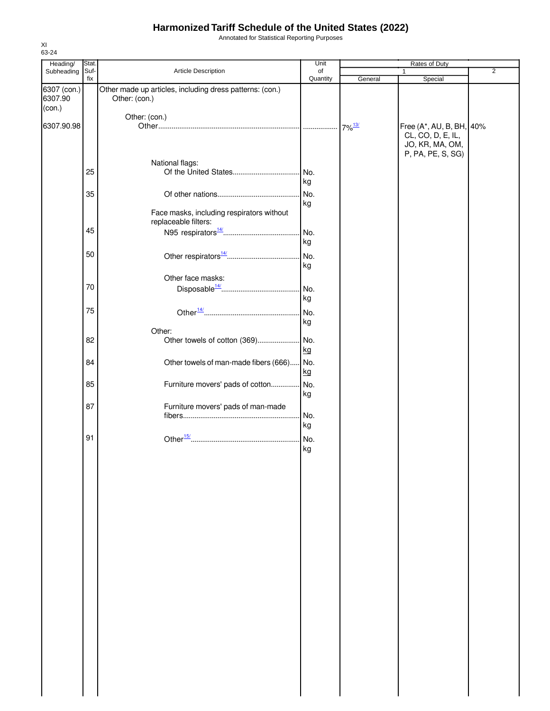Annotated for Statistical Reporting Purposes

| Heading/               | Stat. |                                                                           | Unit     |         | Rates of Duty                        |                |
|------------------------|-------|---------------------------------------------------------------------------|----------|---------|--------------------------------------|----------------|
| Subheading             | Suf-  | Article Description                                                       | of       |         | 1                                    | $\overline{2}$ |
|                        | fix   |                                                                           | Quantity | General | Special                              |                |
| 6307 (con.)<br>6307.90 |       | Other made up articles, including dress patterns: (con.)<br>Other: (con.) |          |         |                                      |                |
| (con.)                 |       |                                                                           |          |         |                                      |                |
|                        |       | Other: (con.)                                                             |          |         |                                      |                |
| 6307.90.98             |       |                                                                           |          |         | Free (A*, AU, B, BH, 40%             |                |
|                        |       |                                                                           |          |         | CL, CO, D, E, IL,<br>JO, KR, MA, OM, |                |
|                        |       |                                                                           |          |         | P, PA, PE, S, SG)                    |                |
|                        |       | National flags:                                                           |          |         |                                      |                |
|                        | 25    |                                                                           | No.      |         |                                      |                |
|                        |       |                                                                           | kg       |         |                                      |                |
|                        | 35    |                                                                           | No.      |         |                                      |                |
|                        |       |                                                                           | kg       |         |                                      |                |
|                        |       |                                                                           |          |         |                                      |                |
|                        |       | Face masks, including respirators without                                 |          |         |                                      |                |
|                        | 45    | replaceable filters:                                                      |          |         |                                      |                |
|                        |       |                                                                           | No.      |         |                                      |                |
|                        |       |                                                                           | kg       |         |                                      |                |
|                        | 50    |                                                                           | No.      |         |                                      |                |
|                        |       |                                                                           | kg       |         |                                      |                |
|                        |       |                                                                           |          |         |                                      |                |
|                        |       | Other face masks:                                                         |          |         |                                      |                |
|                        | 70    |                                                                           | No.      |         |                                      |                |
|                        |       |                                                                           | kg       |         |                                      |                |
|                        | 75    |                                                                           | No.      |         |                                      |                |
|                        |       |                                                                           |          |         |                                      |                |
|                        |       |                                                                           | kg       |         |                                      |                |
|                        |       | Other:                                                                    |          |         |                                      |                |
|                        | 82    | Other towels of cotton (369)                                              | No.      |         |                                      |                |
|                        |       |                                                                           | kg       |         |                                      |                |
|                        | 84    | Other towels of man-made fibers (666)                                     | No.      |         |                                      |                |
|                        |       |                                                                           | kg       |         |                                      |                |
|                        |       |                                                                           | No.      |         |                                      |                |
|                        | 85    | Furniture movers' pads of cotton                                          |          |         |                                      |                |
|                        |       |                                                                           | kg       |         |                                      |                |
|                        | 87    | Furniture movers' pads of man-made                                        |          |         |                                      |                |
|                        |       |                                                                           | No.      |         |                                      |                |
|                        |       |                                                                           | kg       |         |                                      |                |
|                        | 91    |                                                                           | No.      |         |                                      |                |
|                        |       |                                                                           |          |         |                                      |                |
|                        |       |                                                                           | kg       |         |                                      |                |
|                        |       |                                                                           |          |         |                                      |                |
|                        |       |                                                                           |          |         |                                      |                |
|                        |       |                                                                           |          |         |                                      |                |
|                        |       |                                                                           |          |         |                                      |                |
|                        |       |                                                                           |          |         |                                      |                |
|                        |       |                                                                           |          |         |                                      |                |
|                        |       |                                                                           |          |         |                                      |                |
|                        |       |                                                                           |          |         |                                      |                |
|                        |       |                                                                           |          |         |                                      |                |
|                        |       |                                                                           |          |         |                                      |                |
|                        |       |                                                                           |          |         |                                      |                |
|                        |       |                                                                           |          |         |                                      |                |
|                        |       |                                                                           |          |         |                                      |                |
|                        |       |                                                                           |          |         |                                      |                |
|                        |       |                                                                           |          |         |                                      |                |
|                        |       |                                                                           |          |         |                                      |                |
|                        |       |                                                                           |          |         |                                      |                |
|                        |       |                                                                           |          |         |                                      |                |
|                        |       |                                                                           |          |         |                                      |                |
|                        |       |                                                                           |          |         |                                      |                |
|                        |       |                                                                           |          |         |                                      |                |
|                        |       |                                                                           |          |         |                                      |                |
|                        |       |                                                                           |          |         |                                      |                |
|                        |       |                                                                           |          |         |                                      |                |
|                        |       |                                                                           |          |         |                                      |                |
|                        |       |                                                                           |          |         |                                      |                |
|                        |       |                                                                           |          |         |                                      |                |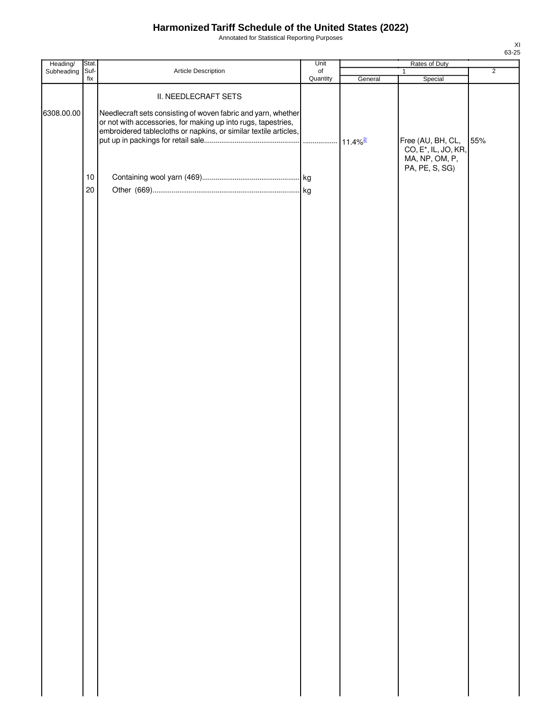Annotated for Statistical Reporting Purposes

| Heading/        | Stat.      |                                                                                                                                                                                                                            | Unit                  | Rates of Duty |                                                                                           |                |
|-----------------|------------|----------------------------------------------------------------------------------------------------------------------------------------------------------------------------------------------------------------------------|-----------------------|---------------|-------------------------------------------------------------------------------------------|----------------|
| Subheading Suf- | fix        | Article Description                                                                                                                                                                                                        | $\circ$ f<br>Quantity | General       | $\mathbf{1}$<br>Special                                                                   | $\overline{2}$ |
| 6308.00.00      | $10$<br>20 | II. NEEDLECRAFT SETS<br>Needlecraft sets consisting of woven fabric and yarn, whether<br>or not with accessories, for making up into rugs, tapestries,<br>embroidered tablecloths or napkins, or similar textile articles, |                       |               | Free (AU, BH, CL,<br>CO, E <sup>*</sup> , IL, JO, KR,<br>MA, NP, OM, P,<br>PA, PE, S, SG) | 55%            |
|                 |            |                                                                                                                                                                                                                            |                       |               |                                                                                           |                |
|                 |            |                                                                                                                                                                                                                            |                       |               |                                                                                           |                |
|                 |            |                                                                                                                                                                                                                            |                       |               |                                                                                           |                |
|                 |            |                                                                                                                                                                                                                            |                       |               |                                                                                           |                |
|                 |            |                                                                                                                                                                                                                            |                       |               |                                                                                           |                |
|                 |            |                                                                                                                                                                                                                            |                       |               |                                                                                           |                |
|                 |            |                                                                                                                                                                                                                            |                       |               |                                                                                           |                |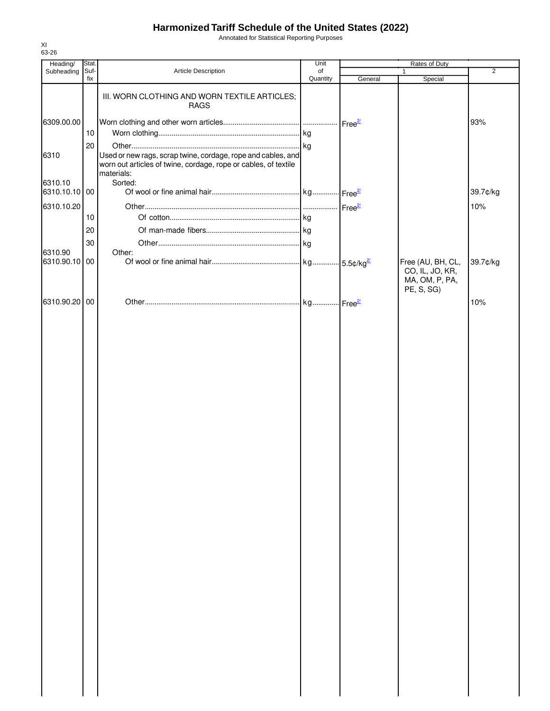Annotated for Statistical Reporting Purposes

| Heading/                 | Stat.       |                                                                                                                                               | Unit           | Rates of Duty |                                                                      |                |
|--------------------------|-------------|-----------------------------------------------------------------------------------------------------------------------------------------------|----------------|---------------|----------------------------------------------------------------------|----------------|
| Subheading               | Suf-<br>fix | Article Description                                                                                                                           | of<br>Quantity | General       | 1<br>Special                                                         | $\overline{2}$ |
|                          |             | III. WORN CLOTHING AND WORN TEXTILE ARTICLES;<br><b>RAGS</b>                                                                                  |                |               |                                                                      |                |
| 6309.00.00               | 10          |                                                                                                                                               |                |               |                                                                      | 93%            |
| 6310                     | 20          | Used or new rags, scrap twine, cordage, rope and cables, and<br>worn out articles of twine, cordage, rope or cables, of textile<br>materials: |                |               |                                                                      |                |
| 6310.10<br>6310.10.10 00 |             | Sorted:                                                                                                                                       |                |               |                                                                      | 39.7¢/kg       |
| 6310.10.20               | 10          |                                                                                                                                               |                |               |                                                                      | 10%            |
|                          |             |                                                                                                                                               |                |               |                                                                      |                |
|                          | 20          |                                                                                                                                               |                |               |                                                                      |                |
| 6310.90                  | 30          | Other:                                                                                                                                        |                |               |                                                                      |                |
| 6310.90.10 00            |             |                                                                                                                                               |                |               | Free (AU, BH, CL,<br>CO, IL, JO, KR,<br>MA, OM, P, PA,<br>PE, S, SG) | 39.7¢/kg       |
| 6310.90.20 00            |             |                                                                                                                                               |                |               |                                                                      | 10%            |
|                          |             |                                                                                                                                               |                |               |                                                                      |                |